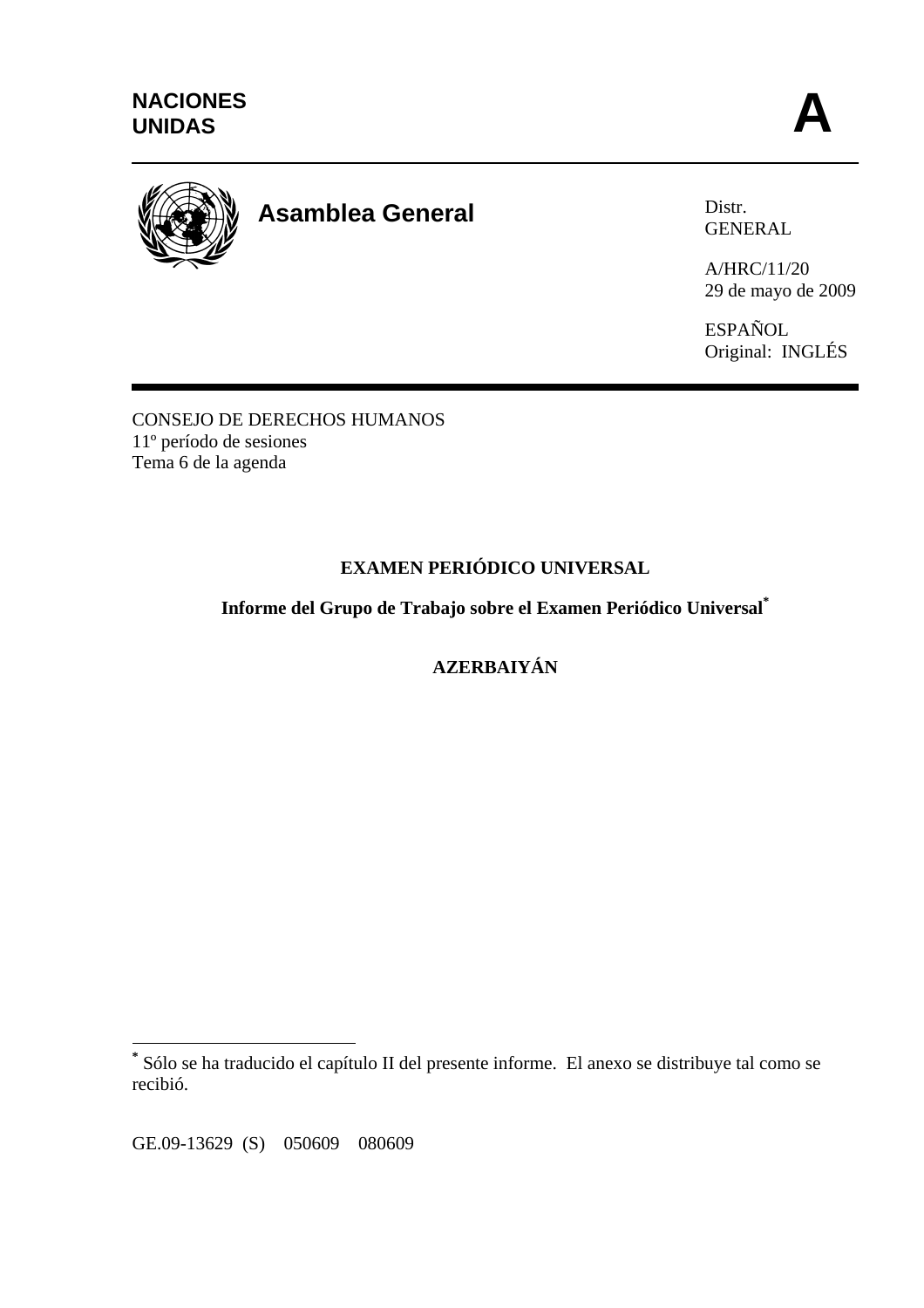

# **Asamblea General**

Distr. GENERAL

A/HRC/11/20 29 de mayo de 2009

ESPAÑOL Original: INGLÉS

CONSEJO DE DERECHOS HUMANOS 11º período de sesiones Tema 6 de la agenda

# **EXAMEN PERIÓDICO UNIVERSAL**

**Informe del Grupo de Trabajo sobre el Examen Periódico Universal\***

**AZERBAIYÁN** 

GE.09-13629 (S) 050609 080609

 $\overline{a}$ 

**<sup>\*</sup>** Sólo se ha traducido el capítulo II del presente informe. El anexo se distribuye tal como se recibió.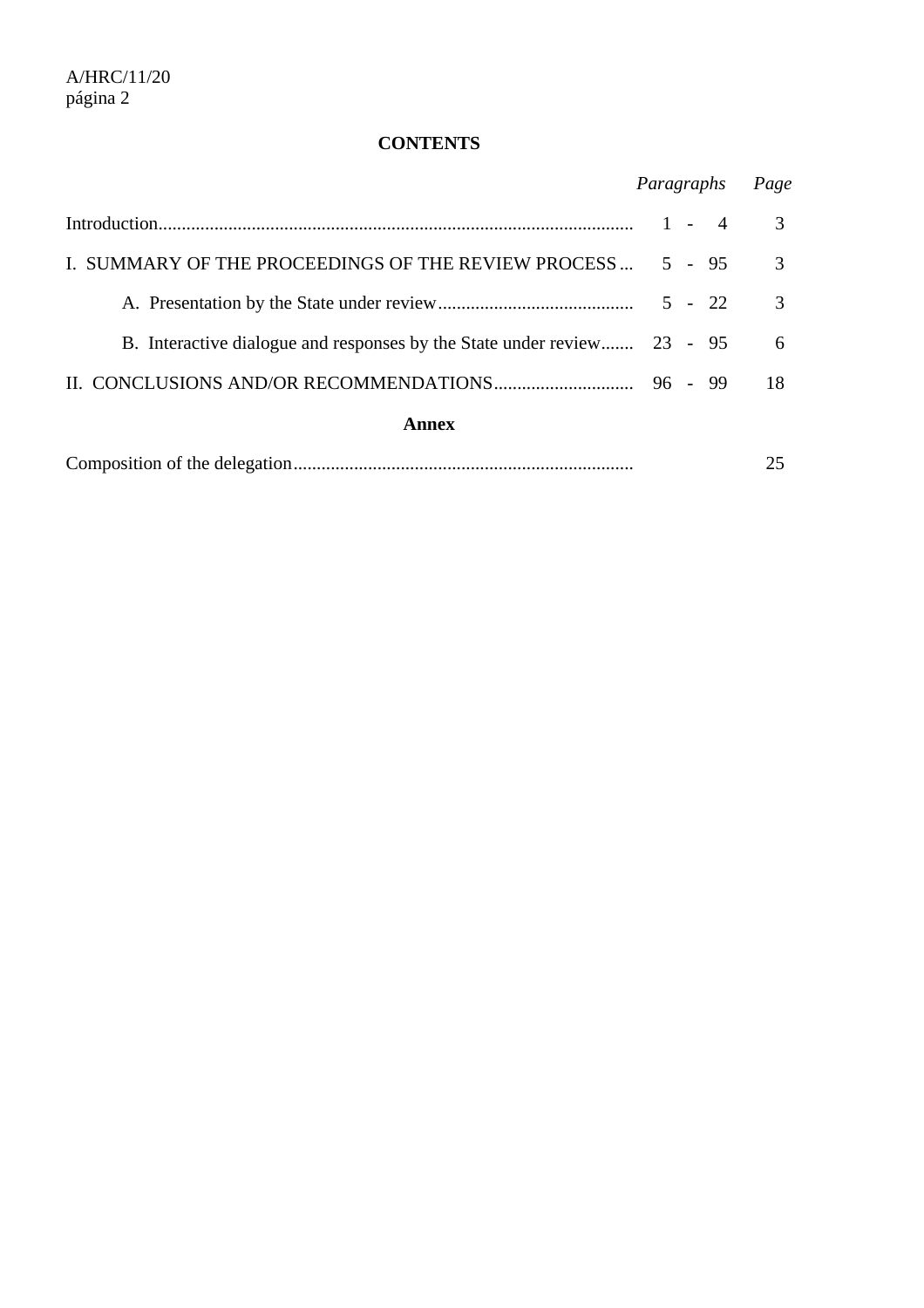## **CONTENTS**

|                                                                         |         | Paragraphs |                |               |  |
|-------------------------------------------------------------------------|---------|------------|----------------|---------------|--|
|                                                                         | $1 -$   |            | $\overline{4}$ | $\mathcal{F}$ |  |
| I. SUMMARY OF THE PROCEEDINGS OF THE REVIEW PROCESS  5 - 95             |         |            |                | 3             |  |
|                                                                         |         |            |                | 3             |  |
| B. Interactive dialogue and responses by the State under review 23 - 95 |         |            |                | 6             |  |
|                                                                         | 96 - 99 |            |                | 18            |  |
| <b>Annex</b>                                                            |         |            |                |               |  |
|                                                                         |         |            |                | 25            |  |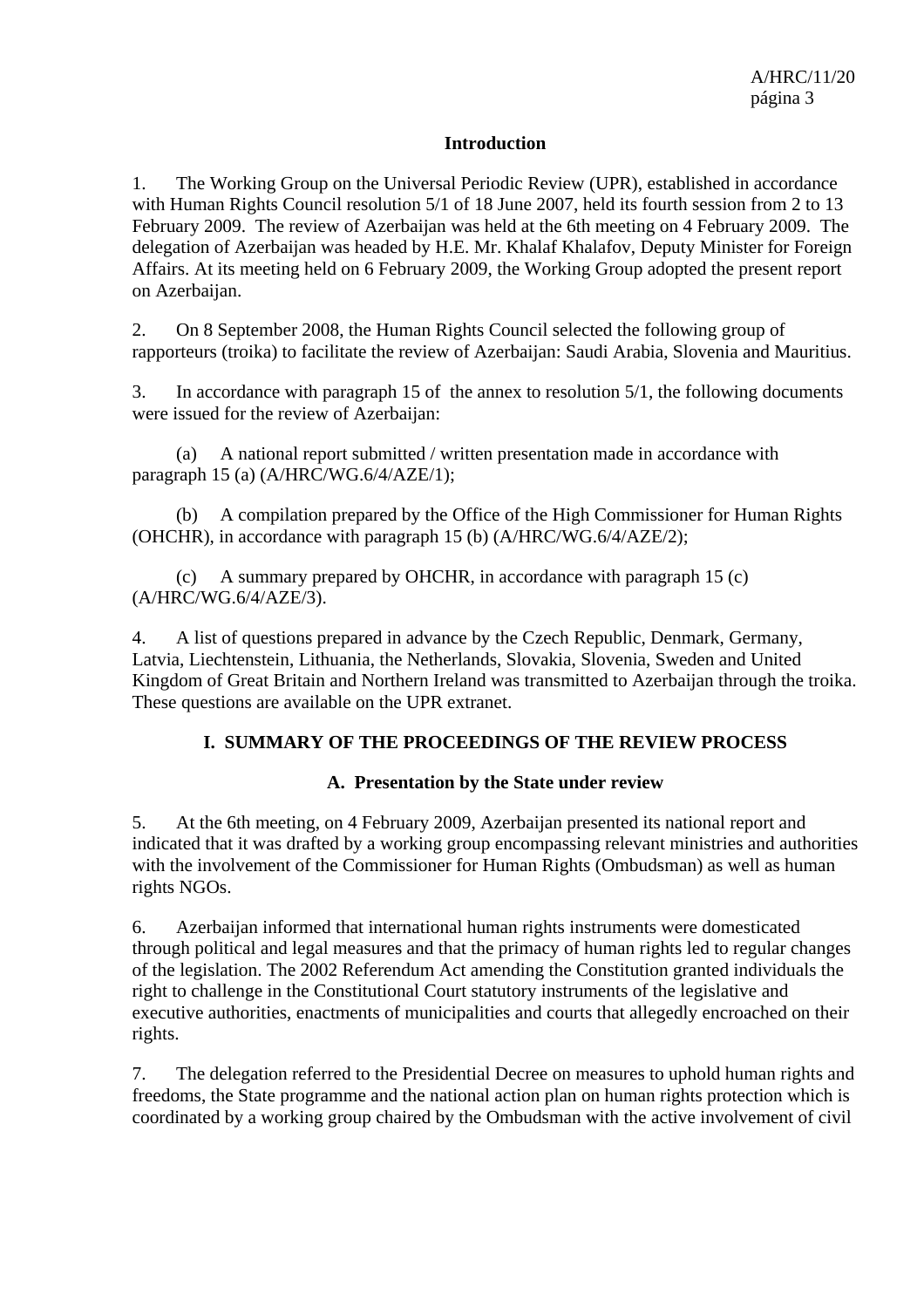#### **Introduction**

1. The Working Group on the Universal Periodic Review (UPR), established in accordance with Human Rights Council resolution 5/1 of 18 June 2007, held its fourth session from 2 to 13 February 2009. The review of Azerbaijan was held at the 6th meeting on 4 February 2009. The delegation of Azerbaijan was headed by H.E. Mr. Khalaf Khalafov, Deputy Minister for Foreign Affairs. At its meeting held on 6 February 2009, the Working Group adopted the present report on Azerbaijan.

2. On 8 September 2008, the Human Rights Council selected the following group of rapporteurs (troika) to facilitate the review of Azerbaijan: Saudi Arabia, Slovenia and Mauritius.

3. In accordance with paragraph 15 of the annex to resolution 5/1, the following documents were issued for the review of Azerbaijan:

 (a) A national report submitted / written presentation made in accordance with paragraph 15 (a) (A/HRC/WG.6/4/AZE/1);

 (b) A compilation prepared by the Office of the High Commissioner for Human Rights (OHCHR), in accordance with paragraph 15 (b) (A/HRC/WG.6/4/AZE/2);

 (c) A summary prepared by OHCHR, in accordance with paragraph 15 (c) (A/HRC/WG.6/4/AZE/3).

4. A list of questions prepared in advance by the Czech Republic, Denmark, Germany, Latvia, Liechtenstein, Lithuania, the Netherlands, Slovakia, Slovenia, Sweden and United Kingdom of Great Britain and Northern Ireland was transmitted to Azerbaijan through the troika. These questions are available on the UPR extranet.

#### **I. SUMMARY OF THE PROCEEDINGS OF THE REVIEW PROCESS**

#### **A. Presentation by the State under review**

5. At the 6th meeting, on 4 February 2009, Azerbaijan presented its national report and indicated that it was drafted by a working group encompassing relevant ministries and authorities with the involvement of the Commissioner for Human Rights (Ombudsman) as well as human rights NGOs.

6. Azerbaijan informed that international human rights instruments were domesticated through political and legal measures and that the primacy of human rights led to regular changes of the legislation. The 2002 Referendum Act amending the Constitution granted individuals the right to challenge in the Constitutional Court statutory instruments of the legislative and executive authorities, enactments of municipalities and courts that allegedly encroached on their rights.

7. The delegation referred to the Presidential Decree on measures to uphold human rights and freedoms, the State programme and the national action plan on human rights protection which is coordinated by a working group chaired by the Ombudsman with the active involvement of civil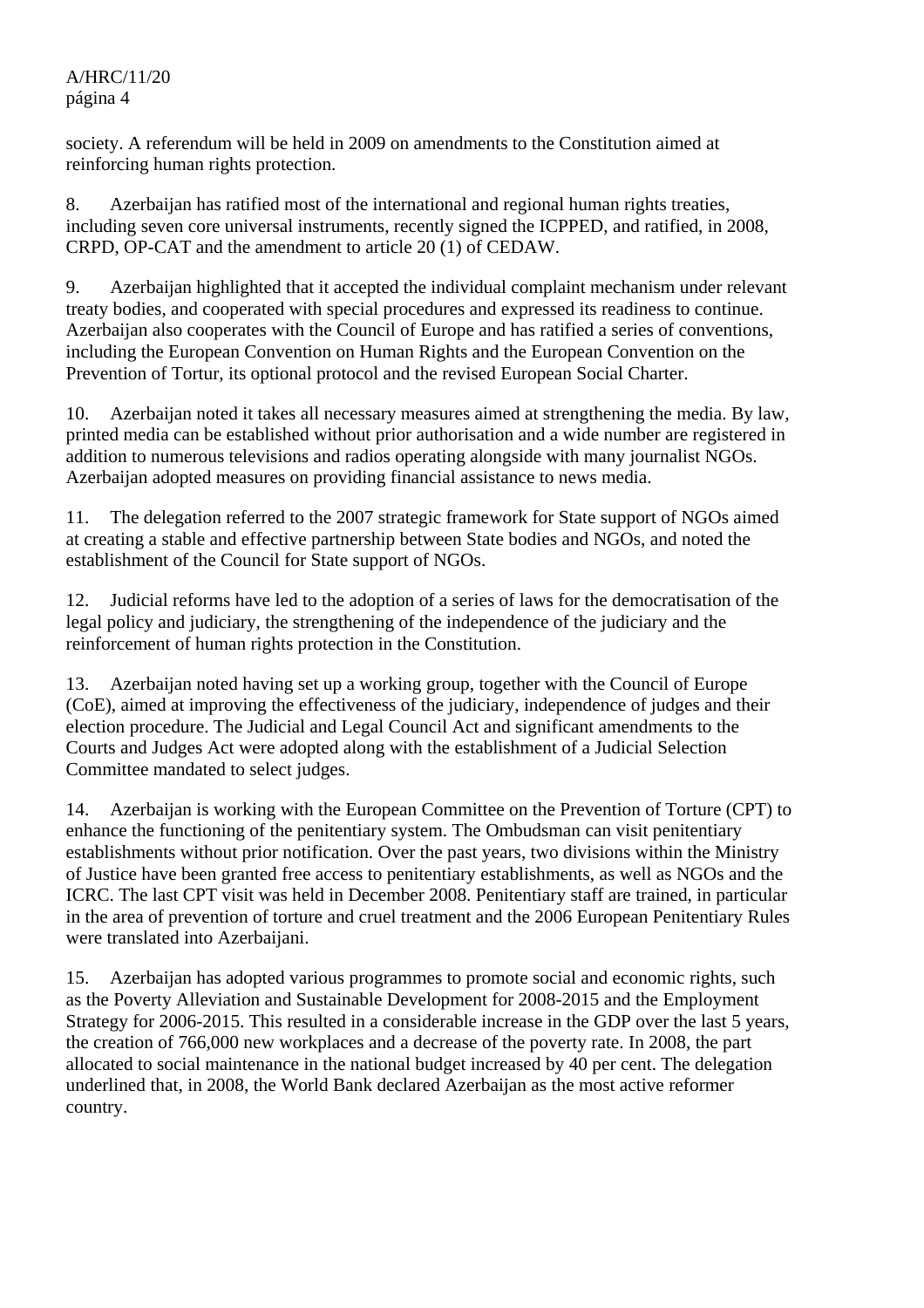society. A referendum will be held in 2009 on amendments to the Constitution aimed at reinforcing human rights protection.

8. Azerbaijan has ratified most of the international and regional human rights treaties, including seven core universal instruments, recently signed the ICPPED, and ratified, in 2008, CRPD, OP-CAT and the amendment to article 20 (1) of CEDAW.

9. Azerbaijan highlighted that it accepted the individual complaint mechanism under relevant treaty bodies, and cooperated with special procedures and expressed its readiness to continue. Azerbaijan also cooperates with the Council of Europe and has ratified a series of conventions, including the European Convention on Human Rights and the European Convention on the Prevention of Tortur, its optional protocol and the revised European Social Charter.

10. Azerbaijan noted it takes all necessary measures aimed at strengthening the media. By law, printed media can be established without prior authorisation and a wide number are registered in addition to numerous televisions and radios operating alongside with many journalist NGOs. Azerbaijan adopted measures on providing financial assistance to news media.

11. The delegation referred to the 2007 strategic framework for State support of NGOs aimed at creating a stable and effective partnership between State bodies and NGOs, and noted the establishment of the Council for State support of NGOs.

12. Judicial reforms have led to the adoption of a series of laws for the democratisation of the legal policy and judiciary, the strengthening of the independence of the judiciary and the reinforcement of human rights protection in the Constitution.

13. Azerbaijan noted having set up a working group, together with the Council of Europe (CoE), aimed at improving the effectiveness of the judiciary, independence of judges and their election procedure. The Judicial and Legal Council Act and significant amendments to the Courts and Judges Act were adopted along with the establishment of a Judicial Selection Committee mandated to select judges.

14. Azerbaijan is working with the European Committee on the Prevention of Torture (CPT) to enhance the functioning of the penitentiary system. The Ombudsman can visit penitentiary establishments without prior notification. Over the past years, two divisions within the Ministry of Justice have been granted free access to penitentiary establishments, as well as NGOs and the ICRC. The last CPT visit was held in December 2008. Penitentiary staff are trained, in particular in the area of prevention of torture and cruel treatment and the 2006 European Penitentiary Rules were translated into Azerbaijani.

15. Azerbaijan has adopted various programmes to promote social and economic rights, such as the Poverty Alleviation and Sustainable Development for 2008-2015 and the Employment Strategy for 2006-2015. This resulted in a considerable increase in the GDP over the last 5 years, the creation of 766,000 new workplaces and a decrease of the poverty rate. In 2008, the part allocated to social maintenance in the national budget increased by 40 per cent. The delegation underlined that, in 2008, the World Bank declared Azerbaijan as the most active reformer country.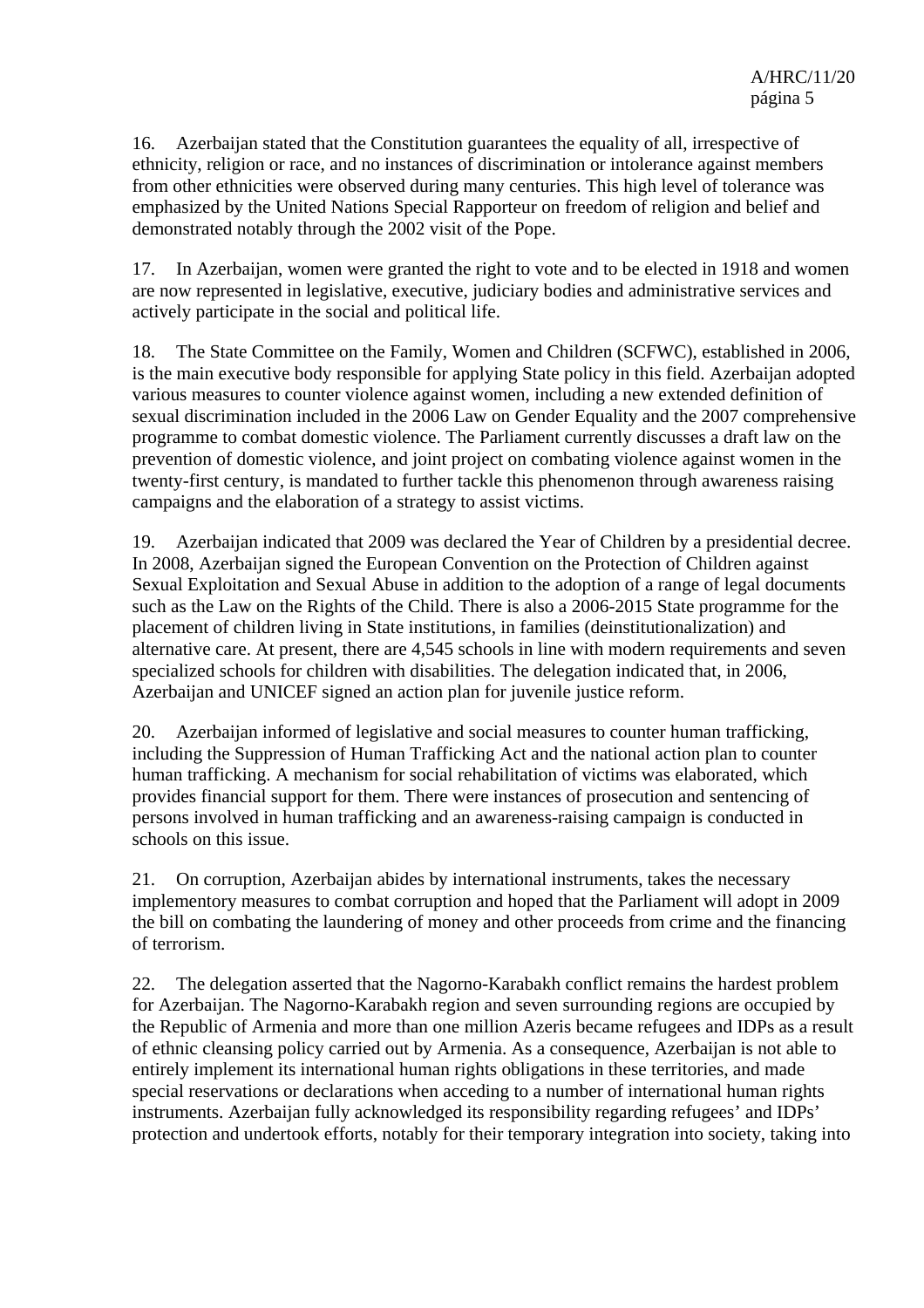16. Azerbaijan stated that the Constitution guarantees the equality of all, irrespective of ethnicity, religion or race, and no instances of discrimination or intolerance against members from other ethnicities were observed during many centuries. This high level of tolerance was emphasized by the United Nations Special Rapporteur on freedom of religion and belief and demonstrated notably through the 2002 visit of the Pope.

17. In Azerbaijan, women were granted the right to vote and to be elected in 1918 and women are now represented in legislative, executive, judiciary bodies and administrative services and actively participate in the social and political life.

18. The State Committee on the Family, Women and Children (SCFWC), established in 2006, is the main executive body responsible for applying State policy in this field. Azerbaijan adopted various measures to counter violence against women, including a new extended definition of sexual discrimination included in the 2006 Law on Gender Equality and the 2007 comprehensive programme to combat domestic violence. The Parliament currently discusses a draft law on the prevention of domestic violence, and joint project on combating violence against women in the twenty-first century, is mandated to further tackle this phenomenon through awareness raising campaigns and the elaboration of a strategy to assist victims.

19. Azerbaijan indicated that 2009 was declared the Year of Children by a presidential decree. In 2008, Azerbaijan signed the European Convention on the Protection of Children against Sexual Exploitation and Sexual Abuse in addition to the adoption of a range of legal documents such as the Law on the Rights of the Child. There is also a 2006-2015 State programme for the placement of children living in State institutions, in families (deinstitutionalization) and alternative care. At present, there are 4,545 schools in line with modern requirements and seven specialized schools for children with disabilities. The delegation indicated that, in 2006, Azerbaijan and UNICEF signed an action plan for juvenile justice reform.

20. Azerbaijan informed of legislative and social measures to counter human trafficking, including the Suppression of Human Trafficking Act and the national action plan to counter human trafficking. A mechanism for social rehabilitation of victims was elaborated, which provides financial support for them. There were instances of prosecution and sentencing of persons involved in human trafficking and an awareness-raising campaign is conducted in schools on this issue.

21. On corruption, Azerbaijan abides by international instruments, takes the necessary implementory measures to combat corruption and hoped that the Parliament will adopt in 2009 the bill on combating the laundering of money and other proceeds from crime and the financing of terrorism.

22. The delegation asserted that the Nagorno-Karabakh conflict remains the hardest problem for Azerbaijan. The Nagorno-Karabakh region and seven surrounding regions are occupied by the Republic of Armenia and more than one million Azeris became refugees and IDPs as a result of ethnic cleansing policy carried out by Armenia. As a consequence, Azerbaijan is not able to entirely implement its international human rights obligations in these territories, and made special reservations or declarations when acceding to a number of international human rights instruments. Azerbaijan fully acknowledged its responsibility regarding refugees' and IDPs' protection and undertook efforts, notably for their temporary integration into society, taking into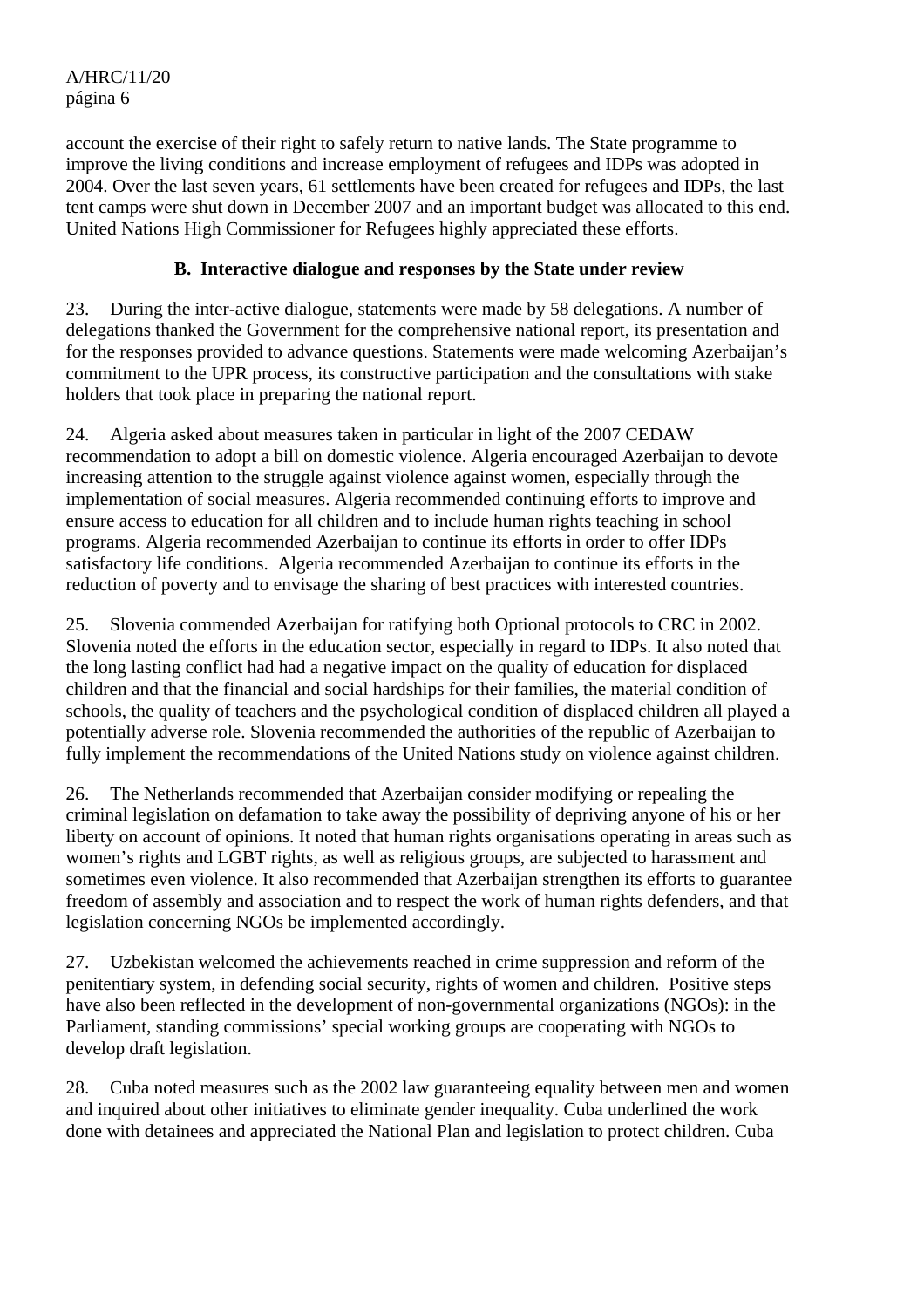account the exercise of their right to safely return to native lands. The State programme to improve the living conditions and increase employment of refugees and IDPs was adopted in 2004. Over the last seven years, 61 settlements have been created for refugees and IDPs, the last tent camps were shut down in December 2007 and an important budget was allocated to this end. United Nations High Commissioner for Refugees highly appreciated these efforts.

#### **B. Interactive dialogue and responses by the State under review**

23. During the inter-active dialogue, statements were made by 58 delegations. A number of delegations thanked the Government for the comprehensive national report, its presentation and for the responses provided to advance questions. Statements were made welcoming Azerbaijan's commitment to the UPR process, its constructive participation and the consultations with stake holders that took place in preparing the national report.

24. Algeria asked about measures taken in particular in light of the 2007 CEDAW recommendation to adopt a bill on domestic violence. Algeria encouraged Azerbaijan to devote increasing attention to the struggle against violence against women, especially through the implementation of social measures. Algeria recommended continuing efforts to improve and ensure access to education for all children and to include human rights teaching in school programs. Algeria recommended Azerbaijan to continue its efforts in order to offer IDPs satisfactory life conditions. Algeria recommended Azerbaijan to continue its efforts in the reduction of poverty and to envisage the sharing of best practices with interested countries.

25. Slovenia commended Azerbaijan for ratifying both Optional protocols to CRC in 2002. Slovenia noted the efforts in the education sector, especially in regard to IDPs. It also noted that the long lasting conflict had had a negative impact on the quality of education for displaced children and that the financial and social hardships for their families, the material condition of schools, the quality of teachers and the psychological condition of displaced children all played a potentially adverse role. Slovenia recommended the authorities of the republic of Azerbaijan to fully implement the recommendations of the United Nations study on violence against children.

26. The Netherlands recommended that Azerbaijan consider modifying or repealing the criminal legislation on defamation to take away the possibility of depriving anyone of his or her liberty on account of opinions. It noted that human rights organisations operating in areas such as women's rights and LGBT rights, as well as religious groups, are subjected to harassment and sometimes even violence. It also recommended that Azerbaijan strengthen its efforts to guarantee freedom of assembly and association and to respect the work of human rights defenders, and that legislation concerning NGOs be implemented accordingly.

27. Uzbekistan welcomed the achievements reached in crime suppression and reform of the penitentiary system, in defending social security, rights of women and children. Positive steps have also been reflected in the development of non-governmental organizations (NGOs): in the Parliament, standing commissions' special working groups are cooperating with NGOs to develop draft legislation.

28. Cuba noted measures such as the 2002 law guaranteeing equality between men and women and inquired about other initiatives to eliminate gender inequality. Cuba underlined the work done with detainees and appreciated the National Plan and legislation to protect children. Cuba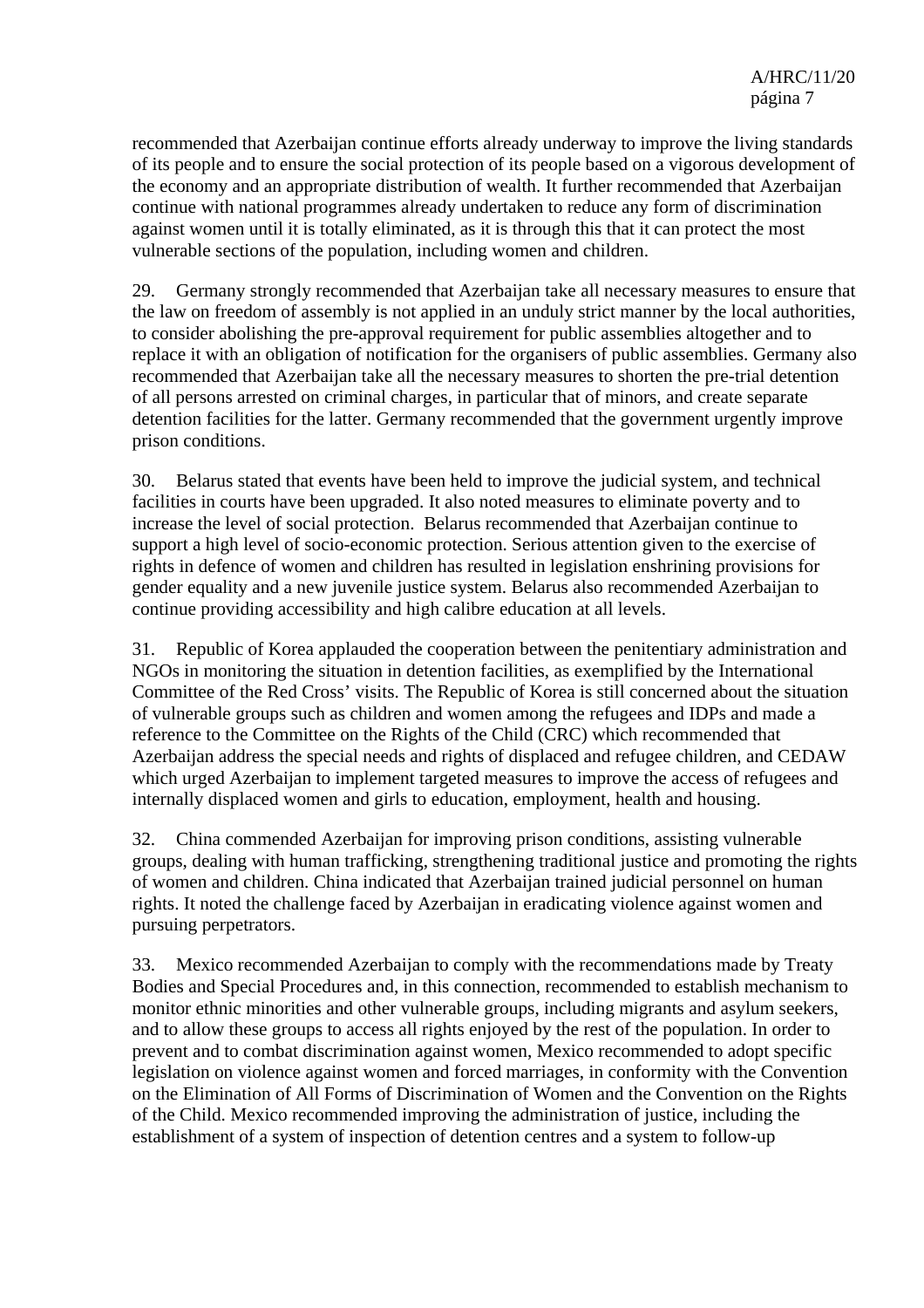recommended that Azerbaijan continue efforts already underway to improve the living standards of its people and to ensure the social protection of its people based on a vigorous development of the economy and an appropriate distribution of wealth. It further recommended that Azerbaijan continue with national programmes already undertaken to reduce any form of discrimination against women until it is totally eliminated, as it is through this that it can protect the most vulnerable sections of the population, including women and children.

29. Germany strongly recommended that Azerbaijan take all necessary measures to ensure that the law on freedom of assembly is not applied in an unduly strict manner by the local authorities, to consider abolishing the pre-approval requirement for public assemblies altogether and to replace it with an obligation of notification for the organisers of public assemblies. Germany also recommended that Azerbaijan take all the necessary measures to shorten the pre-trial detention of all persons arrested on criminal charges, in particular that of minors, and create separate detention facilities for the latter. Germany recommended that the government urgently improve prison conditions.

30. Belarus stated that events have been held to improve the judicial system, and technical facilities in courts have been upgraded. It also noted measures to eliminate poverty and to increase the level of social protection. Belarus recommended that Azerbaijan continue to support a high level of socio-economic protection. Serious attention given to the exercise of rights in defence of women and children has resulted in legislation enshrining provisions for gender equality and a new juvenile justice system. Belarus also recommended Azerbaijan to continue providing accessibility and high calibre education at all levels.

31. Republic of Korea applauded the cooperation between the penitentiary administration and NGOs in monitoring the situation in detention facilities, as exemplified by the International Committee of the Red Cross' visits. The Republic of Korea is still concerned about the situation of vulnerable groups such as children and women among the refugees and IDPs and made a reference to the Committee on the Rights of the Child (CRC) which recommended that Azerbaijan address the special needs and rights of displaced and refugee children, and CEDAW which urged Azerbaijan to implement targeted measures to improve the access of refugees and internally displaced women and girls to education, employment, health and housing.

32. China commended Azerbaijan for improving prison conditions, assisting vulnerable groups, dealing with human trafficking, strengthening traditional justice and promoting the rights of women and children. China indicated that Azerbaijan trained judicial personnel on human rights. It noted the challenge faced by Azerbaijan in eradicating violence against women and pursuing perpetrators.

33. Mexico recommended Azerbaijan to comply with the recommendations made by Treaty Bodies and Special Procedures and, in this connection, recommended to establish mechanism to monitor ethnic minorities and other vulnerable groups, including migrants and asylum seekers, and to allow these groups to access all rights enjoyed by the rest of the population. In order to prevent and to combat discrimination against women, Mexico recommended to adopt specific legislation on violence against women and forced marriages, in conformity with the Convention on the Elimination of All Forms of Discrimination of Women and the Convention on the Rights of the Child. Mexico recommended improving the administration of justice, including the establishment of a system of inspection of detention centres and a system to follow-up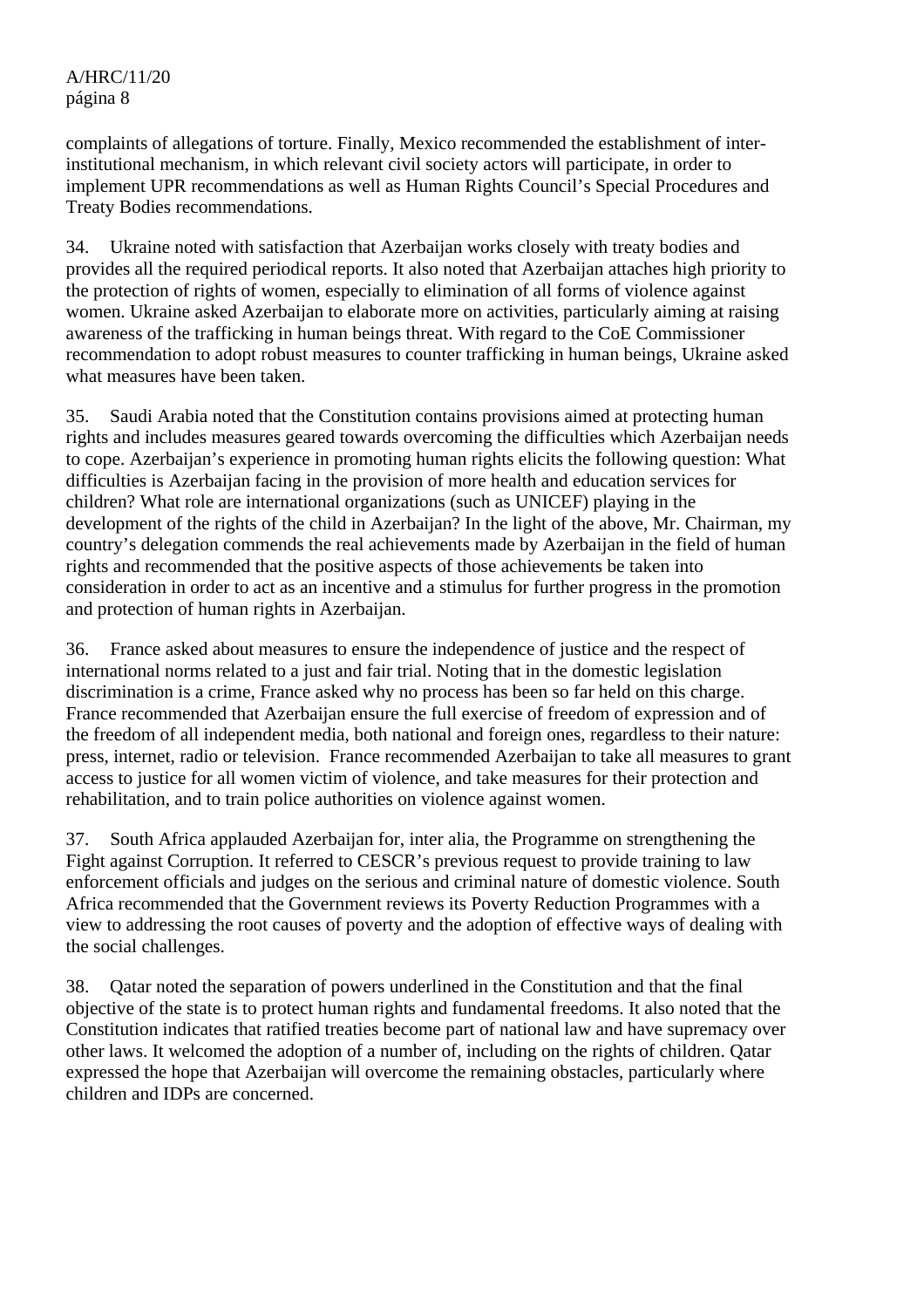complaints of allegations of torture. Finally, Mexico recommended the establishment of interinstitutional mechanism, in which relevant civil society actors will participate, in order to implement UPR recommendations as well as Human Rights Council's Special Procedures and Treaty Bodies recommendations.

34. Ukraine noted with satisfaction that Azerbaijan works closely with treaty bodies and provides all the required periodical reports. It also noted that Azerbaijan attaches high priority to the protection of rights of women, especially to elimination of all forms of violence against women. Ukraine asked Azerbaijan to elaborate more on activities, particularly aiming at raising awareness of the trafficking in human beings threat. With regard to the CoE Commissioner recommendation to adopt robust measures to counter trafficking in human beings, Ukraine asked what measures have been taken.

35. Saudi Arabia noted that the Constitution contains provisions aimed at protecting human rights and includes measures geared towards overcoming the difficulties which Azerbaijan needs to cope. Azerbaijan's experience in promoting human rights elicits the following question: What difficulties is Azerbaijan facing in the provision of more health and education services for children? What role are international organizations (such as UNICEF) playing in the development of the rights of the child in Azerbaijan? In the light of the above, Mr. Chairman, my country's delegation commends the real achievements made by Azerbaijan in the field of human rights and recommended that the positive aspects of those achievements be taken into consideration in order to act as an incentive and a stimulus for further progress in the promotion and protection of human rights in Azerbaijan.

36. France asked about measures to ensure the independence of justice and the respect of international norms related to a just and fair trial. Noting that in the domestic legislation discrimination is a crime, France asked why no process has been so far held on this charge. France recommended that Azerbaijan ensure the full exercise of freedom of expression and of the freedom of all independent media, both national and foreign ones, regardless to their nature: press, internet, radio or television. France recommended Azerbaijan to take all measures to grant access to justice for all women victim of violence, and take measures for their protection and rehabilitation, and to train police authorities on violence against women.

37. South Africa applauded Azerbaijan for, inter alia, the Programme on strengthening the Fight against Corruption. It referred to CESCR's previous request to provide training to law enforcement officials and judges on the serious and criminal nature of domestic violence. South Africa recommended that the Government reviews its Poverty Reduction Programmes with a view to addressing the root causes of poverty and the adoption of effective ways of dealing with the social challenges.

38. Qatar noted the separation of powers underlined in the Constitution and that the final objective of the state is to protect human rights and fundamental freedoms. It also noted that the Constitution indicates that ratified treaties become part of national law and have supremacy over other laws. It welcomed the adoption of a number of, including on the rights of children. Qatar expressed the hope that Azerbaijan will overcome the remaining obstacles, particularly where children and IDPs are concerned.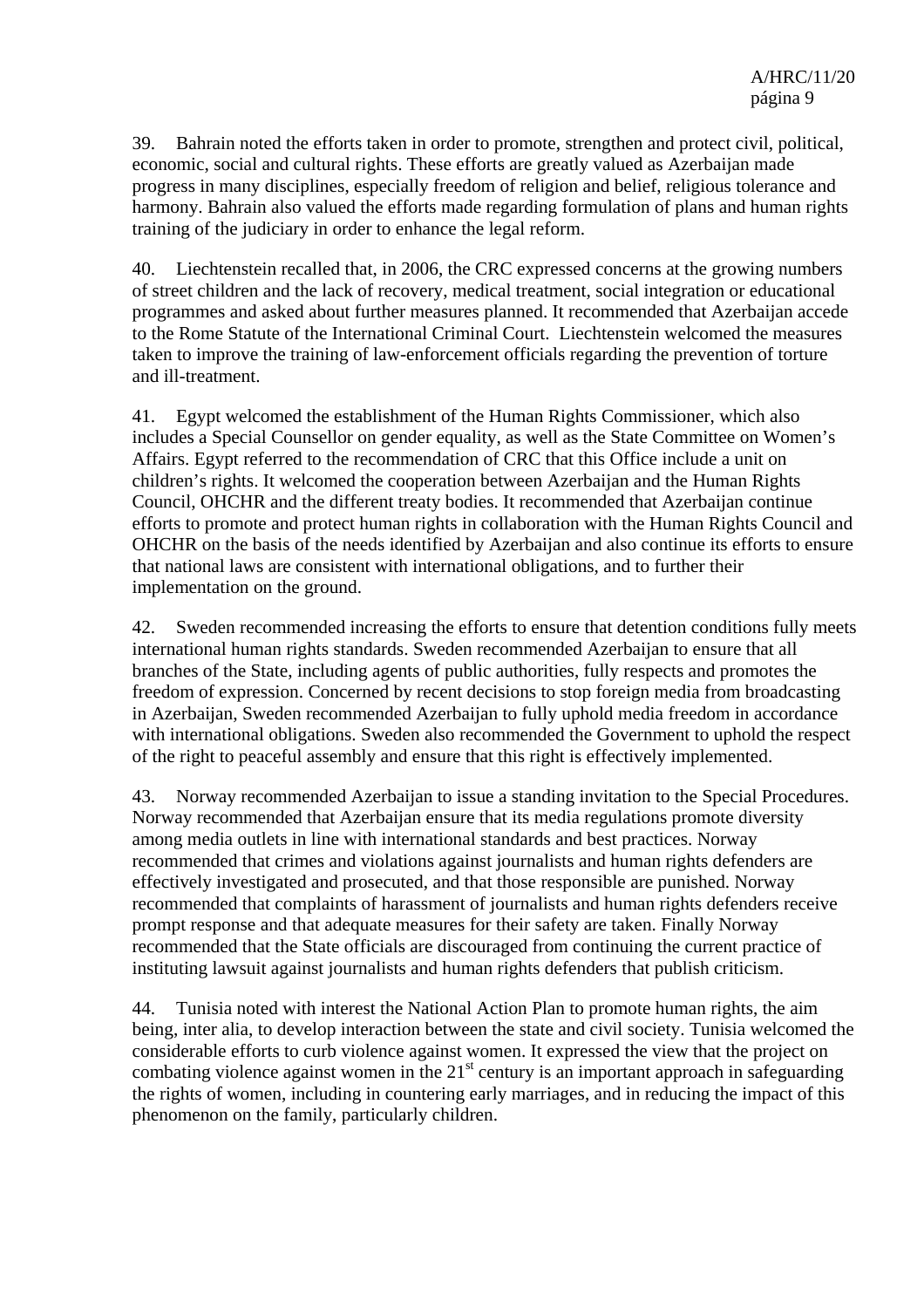39. Bahrain noted the efforts taken in order to promote, strengthen and protect civil, political, economic, social and cultural rights. These efforts are greatly valued as Azerbaijan made progress in many disciplines, especially freedom of religion and belief, religious tolerance and harmony. Bahrain also valued the efforts made regarding formulation of plans and human rights training of the judiciary in order to enhance the legal reform.

40. Liechtenstein recalled that, in 2006, the CRC expressed concerns at the growing numbers of street children and the lack of recovery, medical treatment, social integration or educational programmes and asked about further measures planned. It recommended that Azerbaijan accede to the Rome Statute of the International Criminal Court. Liechtenstein welcomed the measures taken to improve the training of law-enforcement officials regarding the prevention of torture and ill-treatment.

41. Egypt welcomed the establishment of the Human Rights Commissioner, which also includes a Special Counsellor on gender equality, as well as the State Committee on Women's Affairs. Egypt referred to the recommendation of CRC that this Office include a unit on children's rights. It welcomed the cooperation between Azerbaijan and the Human Rights Council, OHCHR and the different treaty bodies. It recommended that Azerbaijan continue efforts to promote and protect human rights in collaboration with the Human Rights Council and OHCHR on the basis of the needs identified by Azerbaijan and also continue its efforts to ensure that national laws are consistent with international obligations, and to further their implementation on the ground.

42. Sweden recommended increasing the efforts to ensure that detention conditions fully meets international human rights standards. Sweden recommended Azerbaijan to ensure that all branches of the State, including agents of public authorities, fully respects and promotes the freedom of expression. Concerned by recent decisions to stop foreign media from broadcasting in Azerbaijan, Sweden recommended Azerbaijan to fully uphold media freedom in accordance with international obligations. Sweden also recommended the Government to uphold the respect of the right to peaceful assembly and ensure that this right is effectively implemented.

43. Norway recommended Azerbaijan to issue a standing invitation to the Special Procedures. Norway recommended that Azerbaijan ensure that its media regulations promote diversity among media outlets in line with international standards and best practices. Norway recommended that crimes and violations against journalists and human rights defenders are effectively investigated and prosecuted, and that those responsible are punished. Norway recommended that complaints of harassment of journalists and human rights defenders receive prompt response and that adequate measures for their safety are taken. Finally Norway recommended that the State officials are discouraged from continuing the current practice of instituting lawsuit against journalists and human rights defenders that publish criticism.

44. Tunisia noted with interest the National Action Plan to promote human rights, the aim being, inter alia, to develop interaction between the state and civil society. Tunisia welcomed the considerable efforts to curb violence against women. It expressed the view that the project on combating violence against women in the  $21<sup>st</sup>$  century is an important approach in safeguarding the rights of women, including in countering early marriages, and in reducing the impact of this phenomenon on the family, particularly children.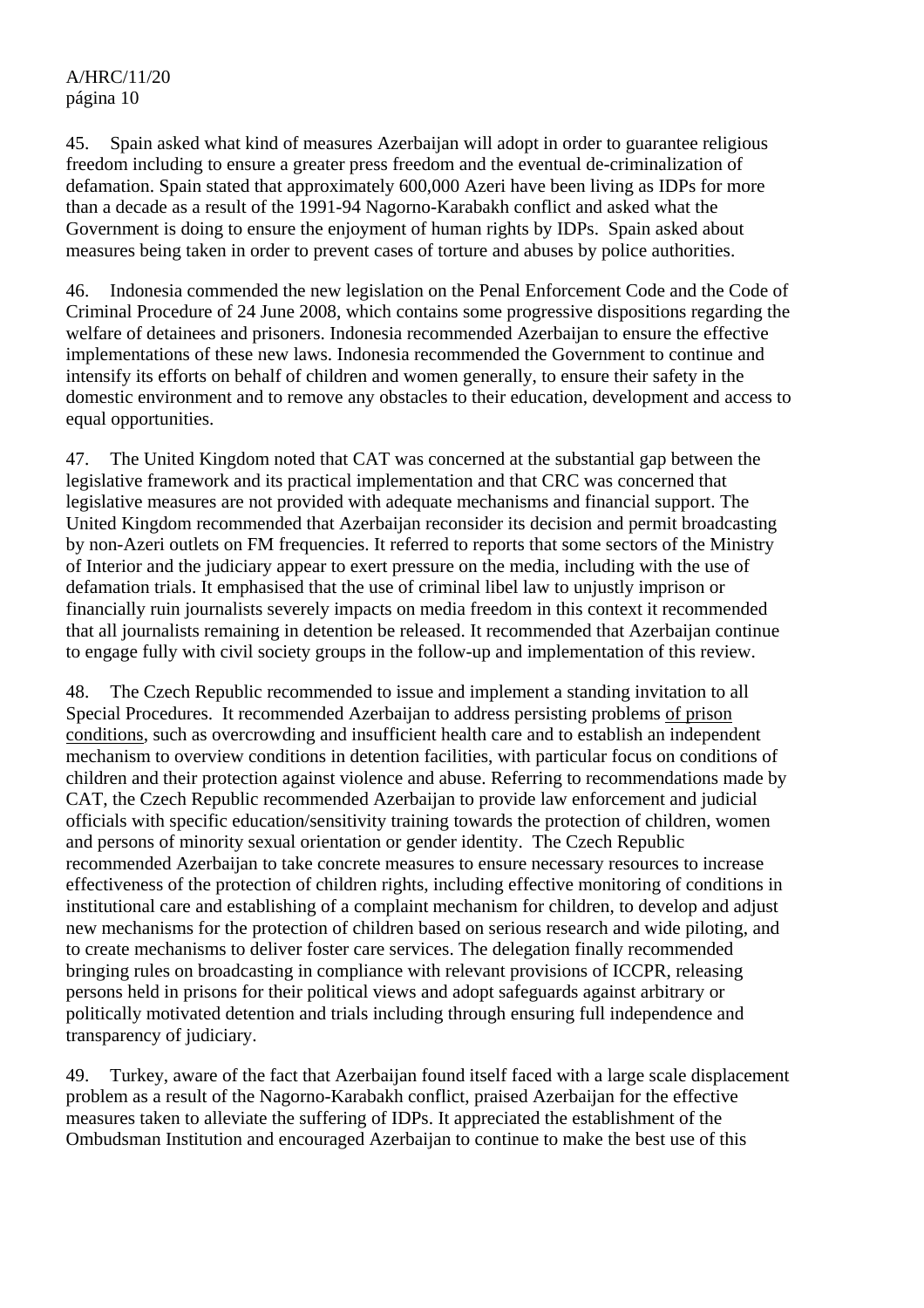45. Spain asked what kind of measures Azerbaijan will adopt in order to guarantee religious freedom including to ensure a greater press freedom and the eventual de-criminalization of defamation. Spain stated that approximately 600,000 Azeri have been living as IDPs for more than a decade as a result of the 1991-94 Nagorno-Karabakh conflict and asked what the Government is doing to ensure the enjoyment of human rights by IDPs. Spain asked about measures being taken in order to prevent cases of torture and abuses by police authorities.

46. Indonesia commended the new legislation on the Penal Enforcement Code and the Code of Criminal Procedure of 24 June 2008, which contains some progressive dispositions regarding the welfare of detainees and prisoners. Indonesia recommended Azerbaijan to ensure the effective implementations of these new laws. Indonesia recommended the Government to continue and intensify its efforts on behalf of children and women generally, to ensure their safety in the domestic environment and to remove any obstacles to their education, development and access to equal opportunities.

47. The United Kingdom noted that CAT was concerned at the substantial gap between the legislative framework and its practical implementation and that CRC was concerned that legislative measures are not provided with adequate mechanisms and financial support. The United Kingdom recommended that Azerbaijan reconsider its decision and permit broadcasting by non-Azeri outlets on FM frequencies. It referred to reports that some sectors of the Ministry of Interior and the judiciary appear to exert pressure on the media, including with the use of defamation trials. It emphasised that the use of criminal libel law to unjustly imprison or financially ruin journalists severely impacts on media freedom in this context it recommended that all journalists remaining in detention be released. It recommended that Azerbaijan continue to engage fully with civil society groups in the follow-up and implementation of this review.

48. The Czech Republic recommended to issue and implement a standing invitation to all Special Procedures. It recommended Azerbaijan to address persisting problems of prison conditions, such as overcrowding and insufficient health care and to establish an independent mechanism to overview conditions in detention facilities, with particular focus on conditions of children and their protection against violence and abuse. Referring to recommendations made by CAT, the Czech Republic recommended Azerbaijan to provide law enforcement and judicial officials with specific education/sensitivity training towards the protection of children, women and persons of minority sexual orientation or gender identity. The Czech Republic recommended Azerbaijan to take concrete measures to ensure necessary resources to increase effectiveness of the protection of children rights, including effective monitoring of conditions in institutional care and establishing of a complaint mechanism for children, to develop and adjust new mechanisms for the protection of children based on serious research and wide piloting, and to create mechanisms to deliver foster care services. The delegation finally recommended bringing rules on broadcasting in compliance with relevant provisions of ICCPR, releasing persons held in prisons for their political views and adopt safeguards against arbitrary or politically motivated detention and trials including through ensuring full independence and transparency of judiciary.

49. Turkey, aware of the fact that Azerbaijan found itself faced with a large scale displacement problem as a result of the Nagorno-Karabakh conflict, praised Azerbaijan for the effective measures taken to alleviate the suffering of IDPs. It appreciated the establishment of the Ombudsman Institution and encouraged Azerbaijan to continue to make the best use of this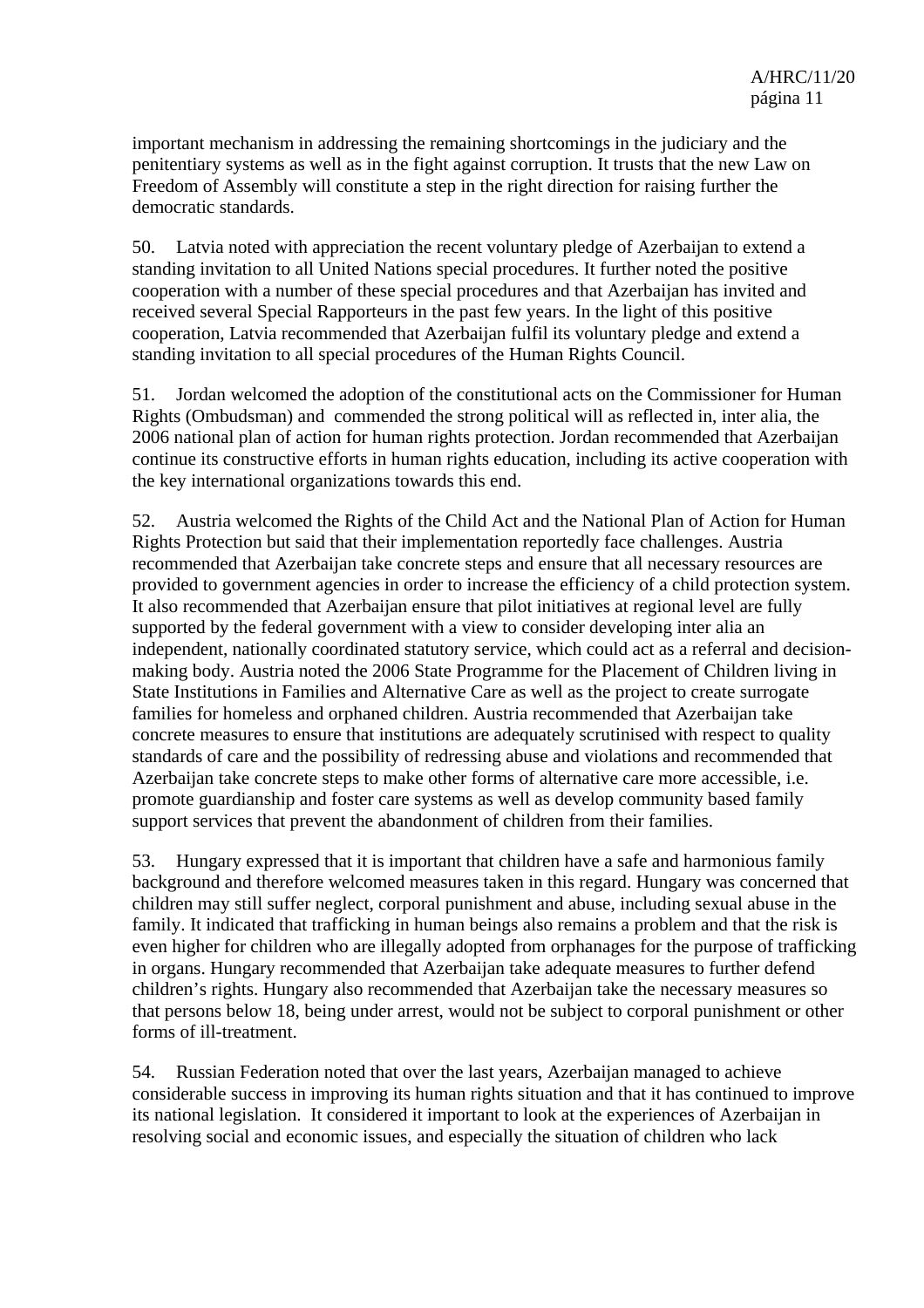important mechanism in addressing the remaining shortcomings in the judiciary and the penitentiary systems as well as in the fight against corruption. It trusts that the new Law on Freedom of Assembly will constitute a step in the right direction for raising further the democratic standards.

50. Latvia noted with appreciation the recent voluntary pledge of Azerbaijan to extend a standing invitation to all United Nations special procedures. It further noted the positive cooperation with a number of these special procedures and that Azerbaijan has invited and received several Special Rapporteurs in the past few years. In the light of this positive cooperation, Latvia recommended that Azerbaijan fulfil its voluntary pledge and extend a standing invitation to all special procedures of the Human Rights Council.

51. Jordan welcomed the adoption of the constitutional acts on the Commissioner for Human Rights (Ombudsman) and commended the strong political will as reflected in, inter alia, the 2006 national plan of action for human rights protection. Jordan recommended that Azerbaijan continue its constructive efforts in human rights education, including its active cooperation with the key international organizations towards this end.

52. Austria welcomed the Rights of the Child Act and the National Plan of Action for Human Rights Protection but said that their implementation reportedly face challenges. Austria recommended that Azerbaijan take concrete steps and ensure that all necessary resources are provided to government agencies in order to increase the efficiency of a child protection system. It also recommended that Azerbaijan ensure that pilot initiatives at regional level are fully supported by the federal government with a view to consider developing inter alia an independent, nationally coordinated statutory service, which could act as a referral and decisionmaking body. Austria noted the 2006 State Programme for the Placement of Children living in State Institutions in Families and Alternative Care as well as the project to create surrogate families for homeless and orphaned children. Austria recommended that Azerbaijan take concrete measures to ensure that institutions are adequately scrutinised with respect to quality standards of care and the possibility of redressing abuse and violations and recommended that Azerbaijan take concrete steps to make other forms of alternative care more accessible, i.e. promote guardianship and foster care systems as well as develop community based family support services that prevent the abandonment of children from their families.

53. Hungary expressed that it is important that children have a safe and harmonious family background and therefore welcomed measures taken in this regard. Hungary was concerned that children may still suffer neglect, corporal punishment and abuse, including sexual abuse in the family. It indicated that trafficking in human beings also remains a problem and that the risk is even higher for children who are illegally adopted from orphanages for the purpose of trafficking in organs. Hungary recommended that Azerbaijan take adequate measures to further defend children's rights. Hungary also recommended that Azerbaijan take the necessary measures so that persons below 18, being under arrest, would not be subject to corporal punishment or other forms of ill-treatment.

54. Russian Federation noted that over the last years, Azerbaijan managed to achieve considerable success in improving its human rights situation and that it has continued to improve its national legislation. It considered it important to look at the experiences of Azerbaijan in resolving social and economic issues, and especially the situation of children who lack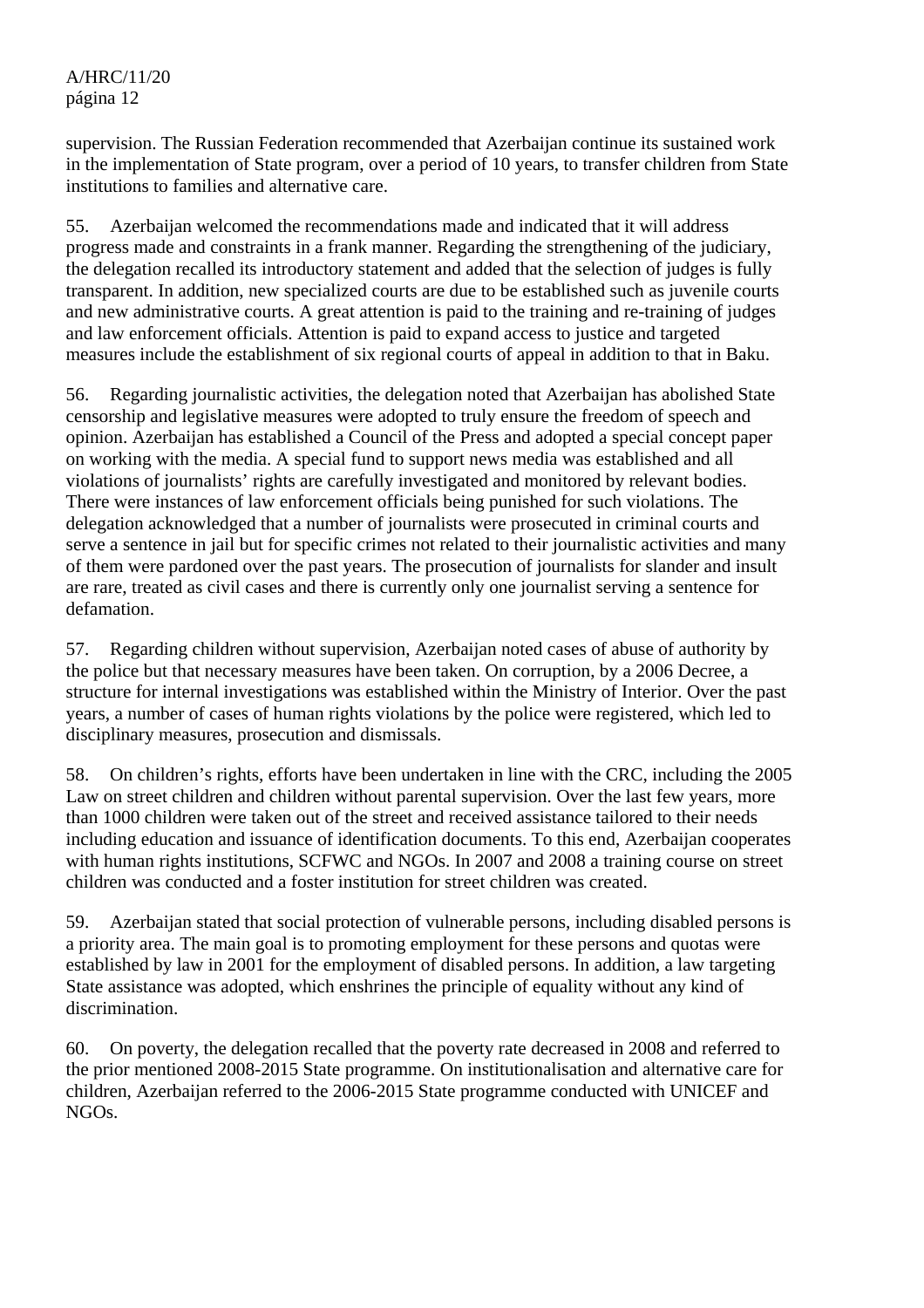supervision. The Russian Federation recommended that Azerbaijan continue its sustained work in the implementation of State program, over a period of 10 years, to transfer children from State institutions to families and alternative care.

55. Azerbaijan welcomed the recommendations made and indicated that it will address progress made and constraints in a frank manner. Regarding the strengthening of the judiciary, the delegation recalled its introductory statement and added that the selection of judges is fully transparent. In addition, new specialized courts are due to be established such as juvenile courts and new administrative courts. A great attention is paid to the training and re-training of judges and law enforcement officials. Attention is paid to expand access to justice and targeted measures include the establishment of six regional courts of appeal in addition to that in Baku.

56. Regarding journalistic activities, the delegation noted that Azerbaijan has abolished State censorship and legislative measures were adopted to truly ensure the freedom of speech and opinion. Azerbaijan has established a Council of the Press and adopted a special concept paper on working with the media. A special fund to support news media was established and all violations of journalists' rights are carefully investigated and monitored by relevant bodies. There were instances of law enforcement officials being punished for such violations. The delegation acknowledged that a number of journalists were prosecuted in criminal courts and serve a sentence in jail but for specific crimes not related to their journalistic activities and many of them were pardoned over the past years. The prosecution of journalists for slander and insult are rare, treated as civil cases and there is currently only one journalist serving a sentence for defamation.

57. Regarding children without supervision, Azerbaijan noted cases of abuse of authority by the police but that necessary measures have been taken. On corruption, by a 2006 Decree, a structure for internal investigations was established within the Ministry of Interior. Over the past years, a number of cases of human rights violations by the police were registered, which led to disciplinary measures, prosecution and dismissals.

58. On children's rights, efforts have been undertaken in line with the CRC, including the 2005 Law on street children and children without parental supervision. Over the last few years, more than 1000 children were taken out of the street and received assistance tailored to their needs including education and issuance of identification documents. To this end, Azerbaijan cooperates with human rights institutions, SCFWC and NGOs. In 2007 and 2008 a training course on street children was conducted and a foster institution for street children was created.

59. Azerbaijan stated that social protection of vulnerable persons, including disabled persons is a priority area. The main goal is to promoting employment for these persons and quotas were established by law in 2001 for the employment of disabled persons. In addition, a law targeting State assistance was adopted, which enshrines the principle of equality without any kind of discrimination.

60. On poverty, the delegation recalled that the poverty rate decreased in 2008 and referred to the prior mentioned 2008-2015 State programme. On institutionalisation and alternative care for children, Azerbaijan referred to the 2006-2015 State programme conducted with UNICEF and NGOs.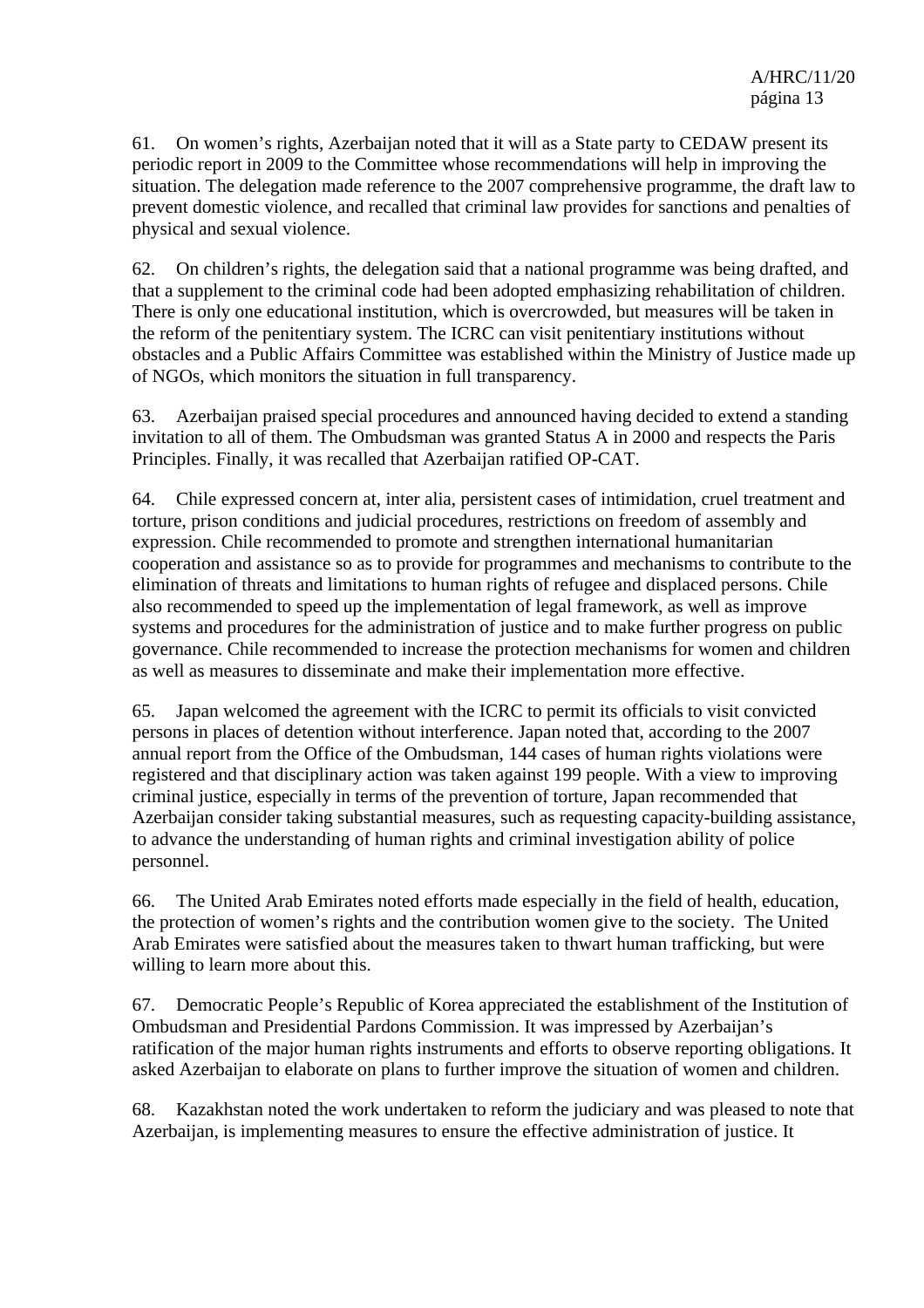61. On women's rights, Azerbaijan noted that it will as a State party to CEDAW present its periodic report in 2009 to the Committee whose recommendations will help in improving the situation. The delegation made reference to the 2007 comprehensive programme, the draft law to prevent domestic violence, and recalled that criminal law provides for sanctions and penalties of physical and sexual violence.

62. On children's rights, the delegation said that a national programme was being drafted, and that a supplement to the criminal code had been adopted emphasizing rehabilitation of children. There is only one educational institution, which is overcrowded, but measures will be taken in the reform of the penitentiary system. The ICRC can visit penitentiary institutions without obstacles and a Public Affairs Committee was established within the Ministry of Justice made up of NGOs, which monitors the situation in full transparency.

63. Azerbaijan praised special procedures and announced having decided to extend a standing invitation to all of them. The Ombudsman was granted Status A in 2000 and respects the Paris Principles. Finally, it was recalled that Azerbaijan ratified OP-CAT.

64. Chile expressed concern at, inter alia, persistent cases of intimidation, cruel treatment and torture, prison conditions and judicial procedures, restrictions on freedom of assembly and expression. Chile recommended to promote and strengthen international humanitarian cooperation and assistance so as to provide for programmes and mechanisms to contribute to the elimination of threats and limitations to human rights of refugee and displaced persons. Chile also recommended to speed up the implementation of legal framework, as well as improve systems and procedures for the administration of justice and to make further progress on public governance. Chile recommended to increase the protection mechanisms for women and children as well as measures to disseminate and make their implementation more effective.

65. Japan welcomed the agreement with the ICRC to permit its officials to visit convicted persons in places of detention without interference. Japan noted that, according to the 2007 annual report from the Office of the Ombudsman, 144 cases of human rights violations were registered and that disciplinary action was taken against 199 people. With a view to improving criminal justice, especially in terms of the prevention of torture, Japan recommended that Azerbaijan consider taking substantial measures, such as requesting capacity-building assistance, to advance the understanding of human rights and criminal investigation ability of police personnel.

66. The United Arab Emirates noted efforts made especially in the field of health, education, the protection of women's rights and the contribution women give to the society. The United Arab Emirates were satisfied about the measures taken to thwart human trafficking, but were willing to learn more about this.

67. Democratic People's Republic of Korea appreciated the establishment of the Institution of Ombudsman and Presidential Pardons Commission. It was impressed by Azerbaijan's ratification of the major human rights instruments and efforts to observe reporting obligations. It asked Azerbaijan to elaborate on plans to further improve the situation of women and children.

68. Kazakhstan noted the work undertaken to reform the judiciary and was pleased to note that Azerbaijan, is implementing measures to ensure the effective administration of justice. It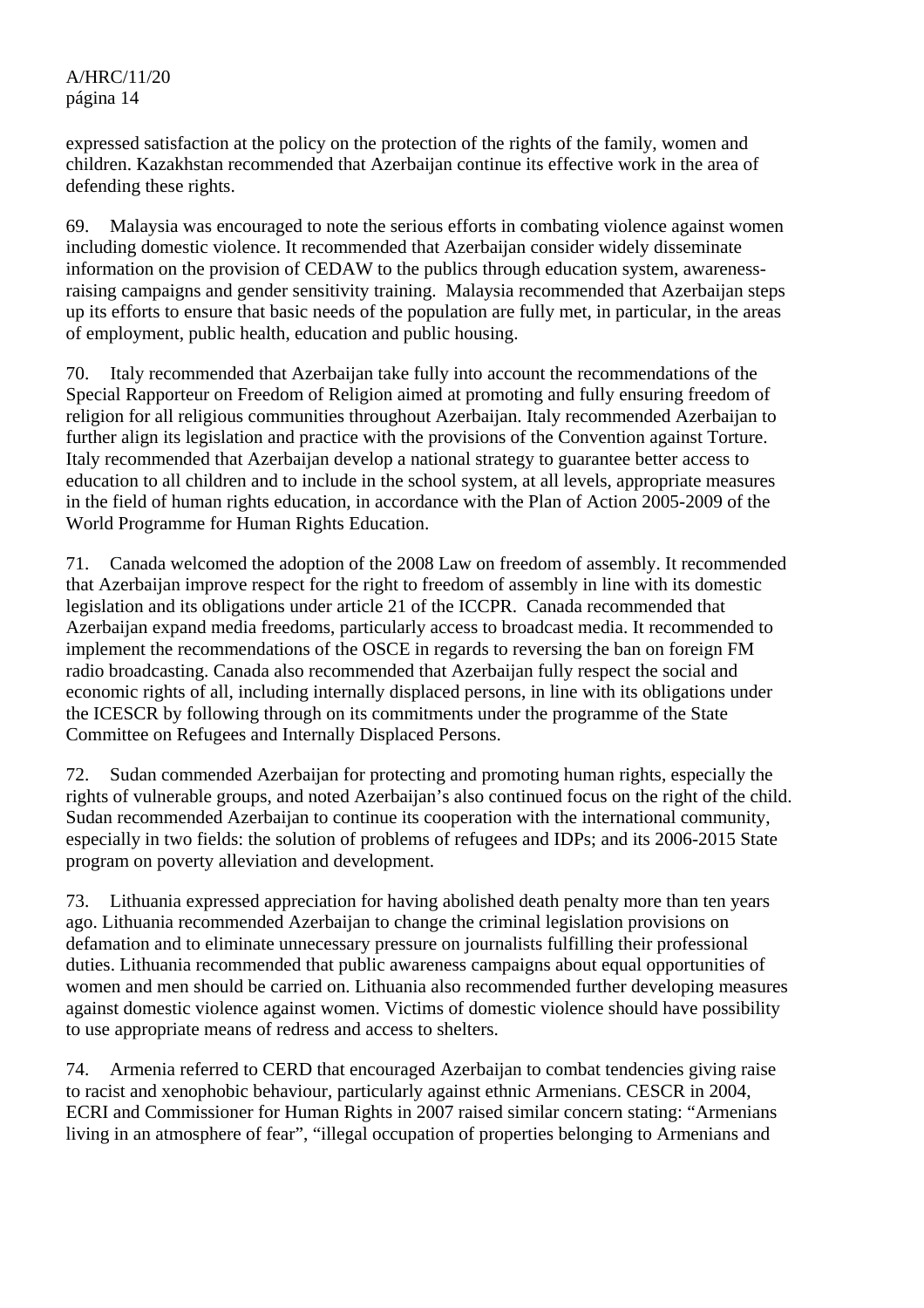expressed satisfaction at the policy on the protection of the rights of the family, women and children. Kazakhstan recommended that Azerbaijan continue its effective work in the area of defending these rights.

69. Malaysia was encouraged to note the serious efforts in combating violence against women including domestic violence. It recommended that Azerbaijan consider widely disseminate information on the provision of CEDAW to the publics through education system, awarenessraising campaigns and gender sensitivity training. Malaysia recommended that Azerbaijan steps up its efforts to ensure that basic needs of the population are fully met, in particular, in the areas of employment, public health, education and public housing.

70. Italy recommended that Azerbaijan take fully into account the recommendations of the Special Rapporteur on Freedom of Religion aimed at promoting and fully ensuring freedom of religion for all religious communities throughout Azerbaijan. Italy recommended Azerbaijan to further align its legislation and practice with the provisions of the Convention against Torture. Italy recommended that Azerbaijan develop a national strategy to guarantee better access to education to all children and to include in the school system, at all levels, appropriate measures in the field of human rights education, in accordance with the Plan of Action 2005-2009 of the World Programme for Human Rights Education.

71. Canada welcomed the adoption of the 2008 Law on freedom of assembly. It recommended that Azerbaijan improve respect for the right to freedom of assembly in line with its domestic legislation and its obligations under article 21 of the ICCPR. Canada recommended that Azerbaijan expand media freedoms, particularly access to broadcast media. It recommended to implement the recommendations of the OSCE in regards to reversing the ban on foreign FM radio broadcasting. Canada also recommended that Azerbaijan fully respect the social and economic rights of all, including internally displaced persons, in line with its obligations under the ICESCR by following through on its commitments under the programme of the State Committee on Refugees and Internally Displaced Persons.

72. Sudan commended Azerbaijan for protecting and promoting human rights, especially the rights of vulnerable groups, and noted Azerbaijan's also continued focus on the right of the child. Sudan recommended Azerbaijan to continue its cooperation with the international community, especially in two fields: the solution of problems of refugees and IDPs; and its 2006-2015 State program on poverty alleviation and development.

73. Lithuania expressed appreciation for having abolished death penalty more than ten years ago. Lithuania recommended Azerbaijan to change the criminal legislation provisions on defamation and to eliminate unnecessary pressure on journalists fulfilling their professional duties. Lithuania recommended that public awareness campaigns about equal opportunities of women and men should be carried on. Lithuania also recommended further developing measures against domestic violence against women. Victims of domestic violence should have possibility to use appropriate means of redress and access to shelters.

74. Armenia referred to CERD that encouraged Azerbaijan to combat tendencies giving raise to racist and xenophobic behaviour, particularly against ethnic Armenians. CESCR in 2004, ECRI and Commissioner for Human Rights in 2007 raised similar concern stating: "Armenians living in an atmosphere of fear", "illegal occupation of properties belonging to Armenians and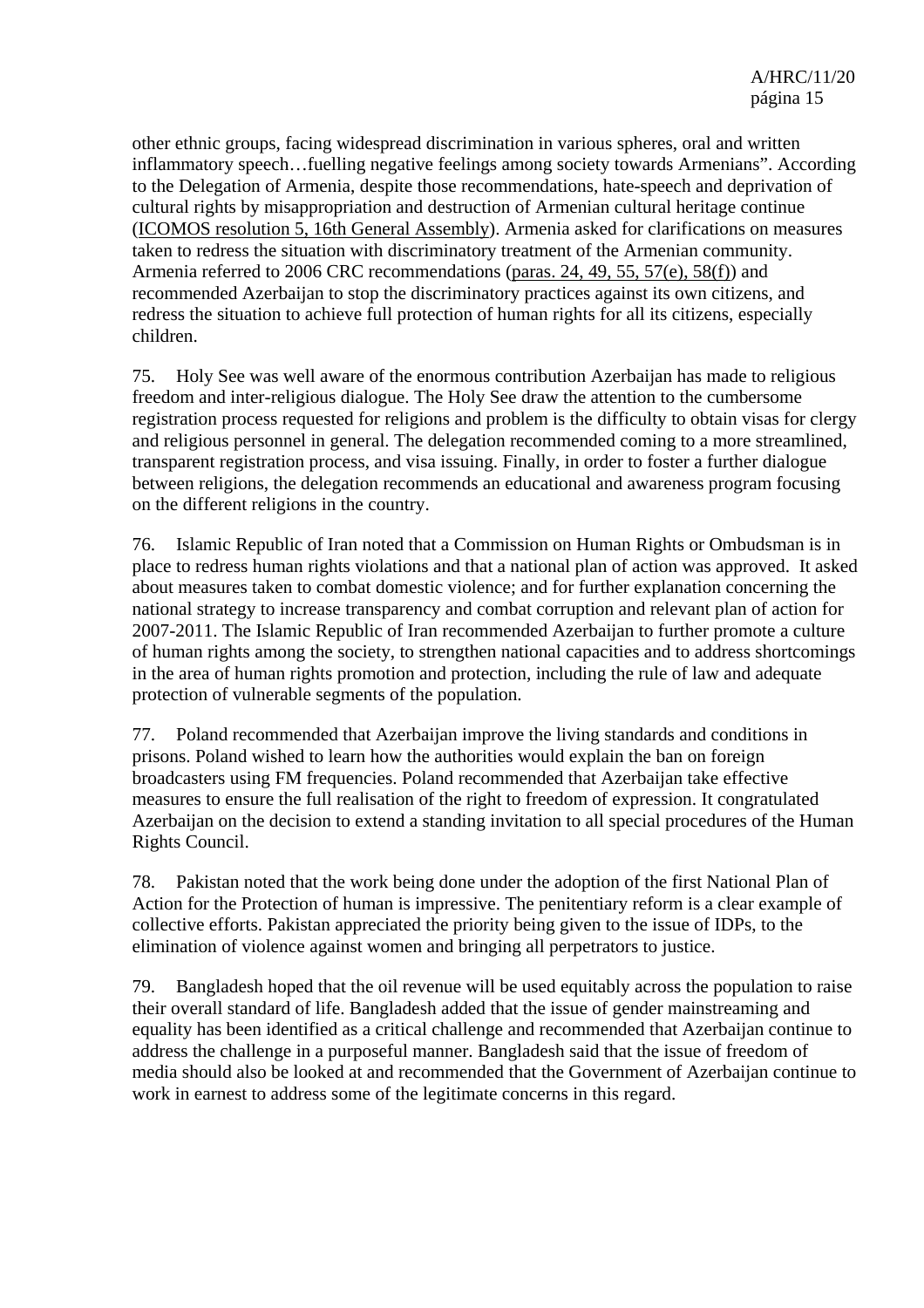other ethnic groups, facing widespread discrimination in various spheres, oral and written inflammatory speech…fuelling negative feelings among society towards Armenians". According to the Delegation of Armenia, despite those recommendations, hate-speech and deprivation of cultural rights by misappropriation and destruction of Armenian cultural heritage continue (ICOMOS resolution 5, 16th General Assembly). Armenia asked for clarifications on measures taken to redress the situation with discriminatory treatment of the Armenian community. Armenia referred to 2006 CRC recommendations (paras. 24, 49, 55, 57(e), 58(f)) and recommended Azerbaijan to stop the discriminatory practices against its own citizens, and redress the situation to achieve full protection of human rights for all its citizens, especially children.

75. Holy See was well aware of the enormous contribution Azerbaijan has made to religious freedom and inter-religious dialogue. The Holy See draw the attention to the cumbersome registration process requested for religions and problem is the difficulty to obtain visas for clergy and religious personnel in general. The delegation recommended coming to a more streamlined, transparent registration process, and visa issuing. Finally, in order to foster a further dialogue between religions, the delegation recommends an educational and awareness program focusing on the different religions in the country.

76. Islamic Republic of Iran noted that a Commission on Human Rights or Ombudsman is in place to redress human rights violations and that a national plan of action was approved. It asked about measures taken to combat domestic violence; and for further explanation concerning the national strategy to increase transparency and combat corruption and relevant plan of action for 2007-2011. The Islamic Republic of Iran recommended Azerbaijan to further promote a culture of human rights among the society, to strengthen national capacities and to address shortcomings in the area of human rights promotion and protection, including the rule of law and adequate protection of vulnerable segments of the population.

77. Poland recommended that Azerbaijan improve the living standards and conditions in prisons. Poland wished to learn how the authorities would explain the ban on foreign broadcasters using FM frequencies. Poland recommended that Azerbaijan take effective measures to ensure the full realisation of the right to freedom of expression. It congratulated Azerbaijan on the decision to extend a standing invitation to all special procedures of the Human Rights Council.

78. Pakistan noted that the work being done under the adoption of the first National Plan of Action for the Protection of human is impressive. The penitentiary reform is a clear example of collective efforts. Pakistan appreciated the priority being given to the issue of IDPs, to the elimination of violence against women and bringing all perpetrators to justice.

79. Bangladesh hoped that the oil revenue will be used equitably across the population to raise their overall standard of life. Bangladesh added that the issue of gender mainstreaming and equality has been identified as a critical challenge and recommended that Azerbaijan continue to address the challenge in a purposeful manner. Bangladesh said that the issue of freedom of media should also be looked at and recommended that the Government of Azerbaijan continue to work in earnest to address some of the legitimate concerns in this regard.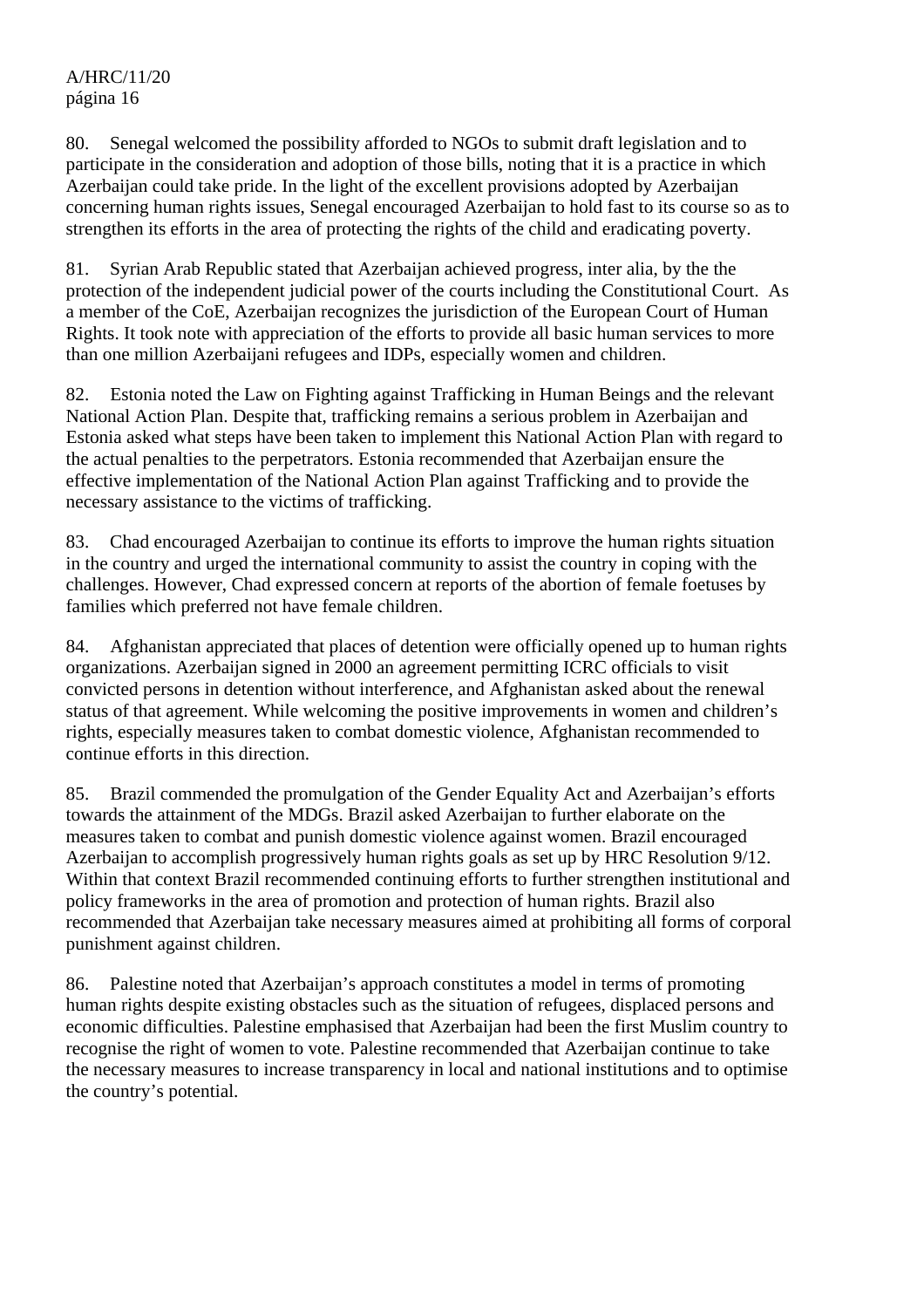80. Senegal welcomed the possibility afforded to NGOs to submit draft legislation and to participate in the consideration and adoption of those bills, noting that it is a practice in which Azerbaijan could take pride. In the light of the excellent provisions adopted by Azerbaijan concerning human rights issues, Senegal encouraged Azerbaijan to hold fast to its course so as to strengthen its efforts in the area of protecting the rights of the child and eradicating poverty.

81. Syrian Arab Republic stated that Azerbaijan achieved progress, inter alia, by the the protection of the independent judicial power of the courts including the Constitutional Court. As a member of the CoE, Azerbaijan recognizes the jurisdiction of the European Court of Human Rights. It took note with appreciation of the efforts to provide all basic human services to more than one million Azerbaijani refugees and IDPs, especially women and children.

82. Estonia noted the Law on Fighting against Trafficking in Human Beings and the relevant National Action Plan. Despite that, trafficking remains a serious problem in Azerbaijan and Estonia asked what steps have been taken to implement this National Action Plan with regard to the actual penalties to the perpetrators. Estonia recommended that Azerbaijan ensure the effective implementation of the National Action Plan against Trafficking and to provide the necessary assistance to the victims of trafficking.

83. Chad encouraged Azerbaijan to continue its efforts to improve the human rights situation in the country and urged the international community to assist the country in coping with the challenges. However, Chad expressed concern at reports of the abortion of female foetuses by families which preferred not have female children.

84. Afghanistan appreciated that places of detention were officially opened up to human rights organizations. Azerbaijan signed in 2000 an agreement permitting ICRC officials to visit convicted persons in detention without interference, and Afghanistan asked about the renewal status of that agreement. While welcoming the positive improvements in women and children's rights, especially measures taken to combat domestic violence, Afghanistan recommended to continue efforts in this direction.

85. Brazil commended the promulgation of the Gender Equality Act and Azerbaijan's efforts towards the attainment of the MDGs. Brazil asked Azerbaijan to further elaborate on the measures taken to combat and punish domestic violence against women. Brazil encouraged Azerbaijan to accomplish progressively human rights goals as set up by HRC Resolution 9/12. Within that context Brazil recommended continuing efforts to further strengthen institutional and policy frameworks in the area of promotion and protection of human rights. Brazil also recommended that Azerbaijan take necessary measures aimed at prohibiting all forms of corporal punishment against children.

86. Palestine noted that Azerbaijan's approach constitutes a model in terms of promoting human rights despite existing obstacles such as the situation of refugees, displaced persons and economic difficulties. Palestine emphasised that Azerbaijan had been the first Muslim country to recognise the right of women to vote. Palestine recommended that Azerbaijan continue to take the necessary measures to increase transparency in local and national institutions and to optimise the country's potential.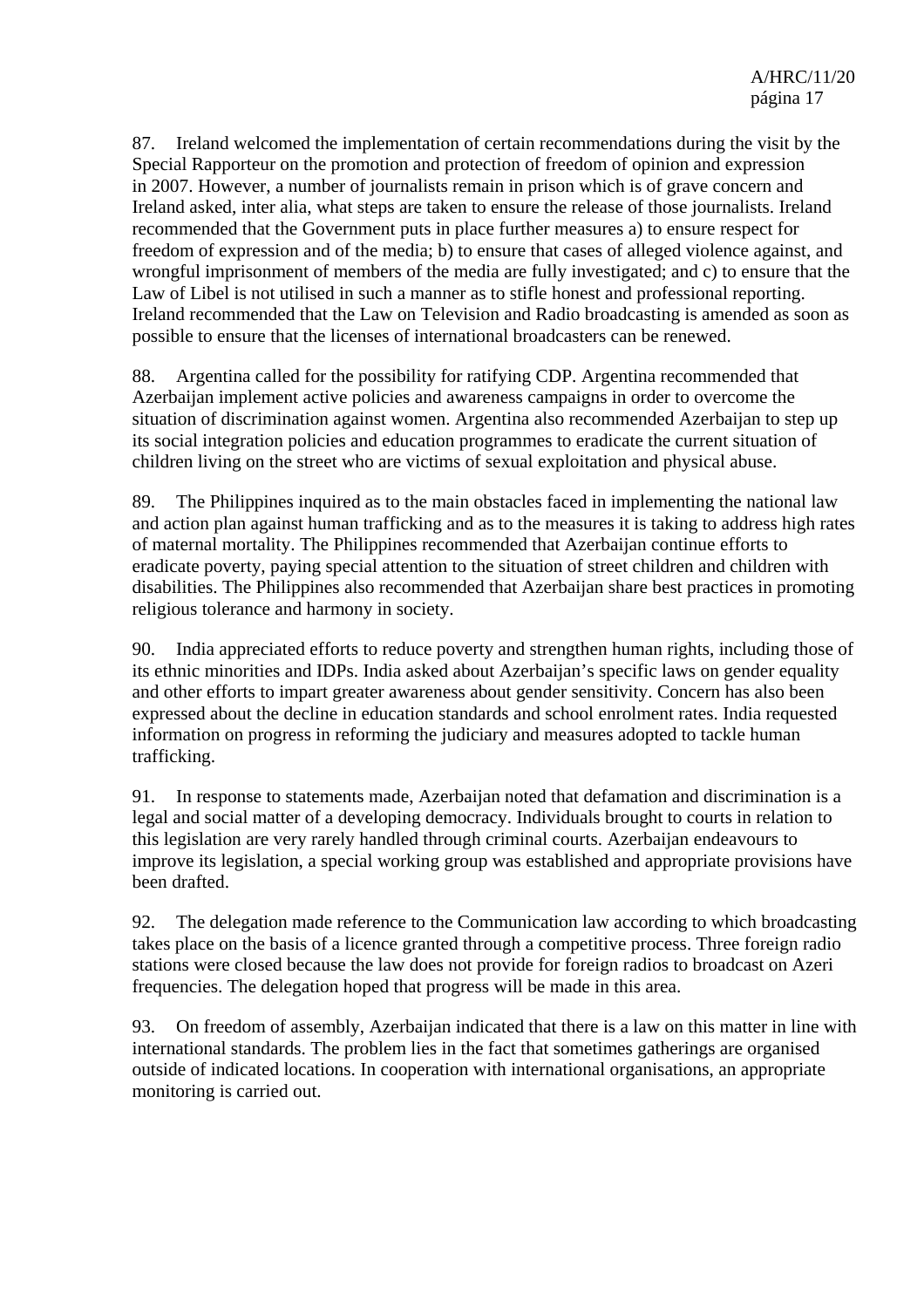87. Ireland welcomed the implementation of certain recommendations during the visit by the Special Rapporteur on the promotion and protection of freedom of opinion and expression in 2007. However, a number of journalists remain in prison which is of grave concern and Ireland asked, inter alia, what steps are taken to ensure the release of those journalists. Ireland recommended that the Government puts in place further measures a) to ensure respect for freedom of expression and of the media; b) to ensure that cases of alleged violence against, and wrongful imprisonment of members of the media are fully investigated; and c) to ensure that the Law of Libel is not utilised in such a manner as to stifle honest and professional reporting. Ireland recommended that the Law on Television and Radio broadcasting is amended as soon as possible to ensure that the licenses of international broadcasters can be renewed.

88. Argentina called for the possibility for ratifying CDP. Argentina recommended that Azerbaijan implement active policies and awareness campaigns in order to overcome the situation of discrimination against women. Argentina also recommended Azerbaijan to step up its social integration policies and education programmes to eradicate the current situation of children living on the street who are victims of sexual exploitation and physical abuse.

89. The Philippines inquired as to the main obstacles faced in implementing the national law and action plan against human trafficking and as to the measures it is taking to address high rates of maternal mortality. The Philippines recommended that Azerbaijan continue efforts to eradicate poverty, paying special attention to the situation of street children and children with disabilities. The Philippines also recommended that Azerbaijan share best practices in promoting religious tolerance and harmony in society.

90. India appreciated efforts to reduce poverty and strengthen human rights, including those of its ethnic minorities and IDPs. India asked about Azerbaijan's specific laws on gender equality and other efforts to impart greater awareness about gender sensitivity. Concern has also been expressed about the decline in education standards and school enrolment rates. India requested information on progress in reforming the judiciary and measures adopted to tackle human trafficking.

91. In response to statements made, Azerbaijan noted that defamation and discrimination is a legal and social matter of a developing democracy. Individuals brought to courts in relation to this legislation are very rarely handled through criminal courts. Azerbaijan endeavours to improve its legislation, a special working group was established and appropriate provisions have been drafted.

92. The delegation made reference to the Communication law according to which broadcasting takes place on the basis of a licence granted through a competitive process. Three foreign radio stations were closed because the law does not provide for foreign radios to broadcast on Azeri frequencies. The delegation hoped that progress will be made in this area.

93. On freedom of assembly, Azerbaijan indicated that there is a law on this matter in line with international standards. The problem lies in the fact that sometimes gatherings are organised outside of indicated locations. In cooperation with international organisations, an appropriate monitoring is carried out.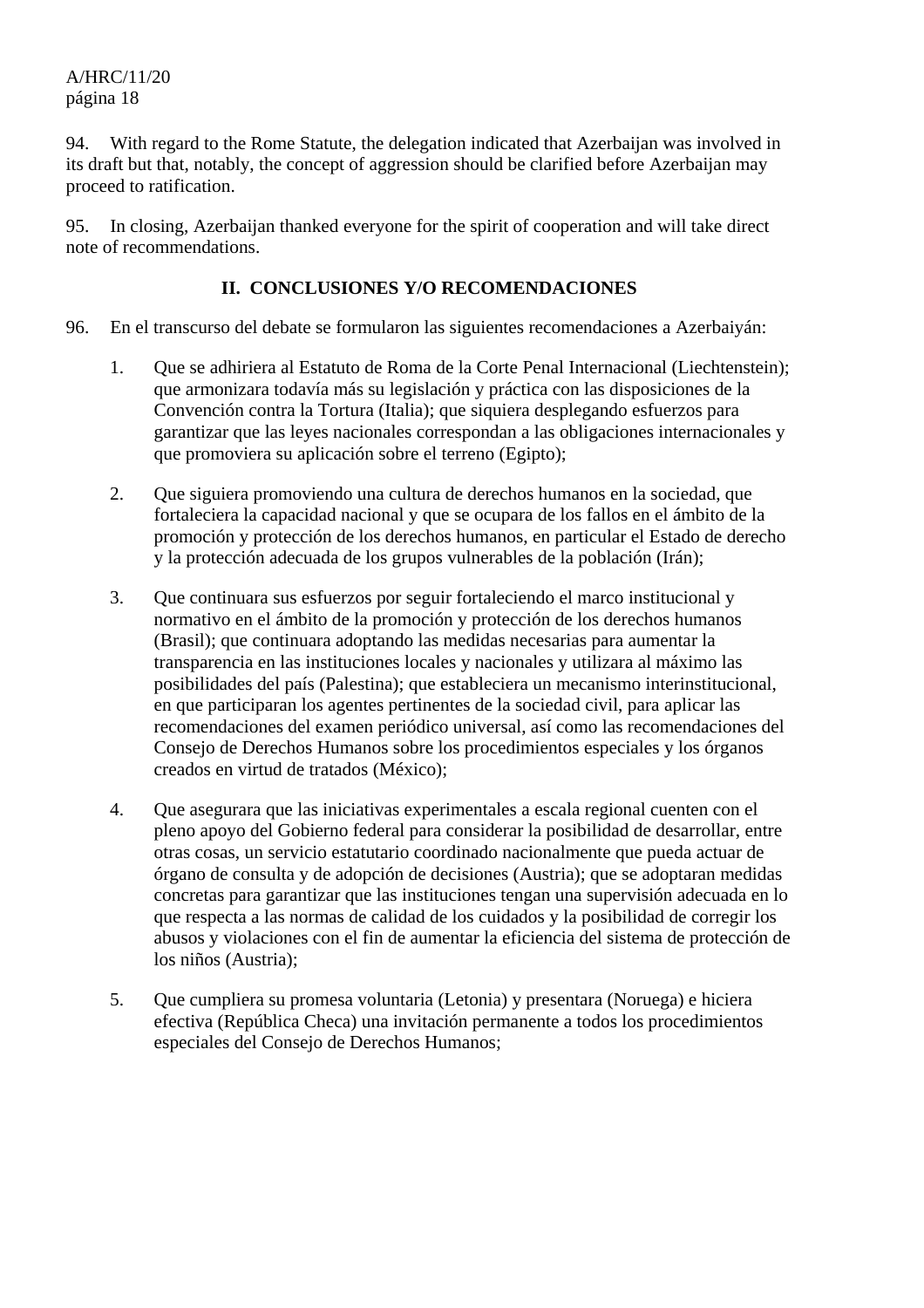94. With regard to the Rome Statute, the delegation indicated that Azerbaijan was involved in its draft but that, notably, the concept of aggression should be clarified before Azerbaijan may proceed to ratification.

95. In closing, Azerbaijan thanked everyone for the spirit of cooperation and will take direct note of recommendations.

#### **II. CONCLUSIONES Y/O RECOMENDACIONES**

- 96. En el transcurso del debate se formularon las siguientes recomendaciones a Azerbaiyán:
	- 1. Que se adhiriera al Estatuto de Roma de la Corte Penal Internacional (Liechtenstein); que armonizara todavía más su legislación y práctica con las disposiciones de la Convención contra la Tortura (Italia); que siquiera desplegando esfuerzos para garantizar que las leyes nacionales correspondan a las obligaciones internacionales y que promoviera su aplicación sobre el terreno (Egipto);
	- 2. Que siguiera promoviendo una cultura de derechos humanos en la sociedad, que fortaleciera la capacidad nacional y que se ocupara de los fallos en el ámbito de la promoción y protección de los derechos humanos, en particular el Estado de derecho y la protección adecuada de los grupos vulnerables de la población (Irán);
	- 3. Que continuara sus esfuerzos por seguir fortaleciendo el marco institucional y normativo en el ámbito de la promoción y protección de los derechos humanos (Brasil); que continuara adoptando las medidas necesarias para aumentar la transparencia en las instituciones locales y nacionales y utilizara al máximo las posibilidades del país (Palestina); que estableciera un mecanismo interinstitucional, en que participaran los agentes pertinentes de la sociedad civil, para aplicar las recomendaciones del examen periódico universal, así como las recomendaciones del Consejo de Derechos Humanos sobre los procedimientos especiales y los órganos creados en virtud de tratados (México);
	- 4. Que asegurara que las iniciativas experimentales a escala regional cuenten con el pleno apoyo del Gobierno federal para considerar la posibilidad de desarrollar, entre otras cosas, un servicio estatutario coordinado nacionalmente que pueda actuar de órgano de consulta y de adopción de decisiones (Austria); que se adoptaran medidas concretas para garantizar que las instituciones tengan una supervisión adecuada en lo que respecta a las normas de calidad de los cuidados y la posibilidad de corregir los abusos y violaciones con el fin de aumentar la eficiencia del sistema de protección de los niños (Austria);
	- 5. Que cumpliera su promesa voluntaria (Letonia) y presentara (Noruega) e hiciera efectiva (República Checa) una invitación permanente a todos los procedimientos especiales del Consejo de Derechos Humanos;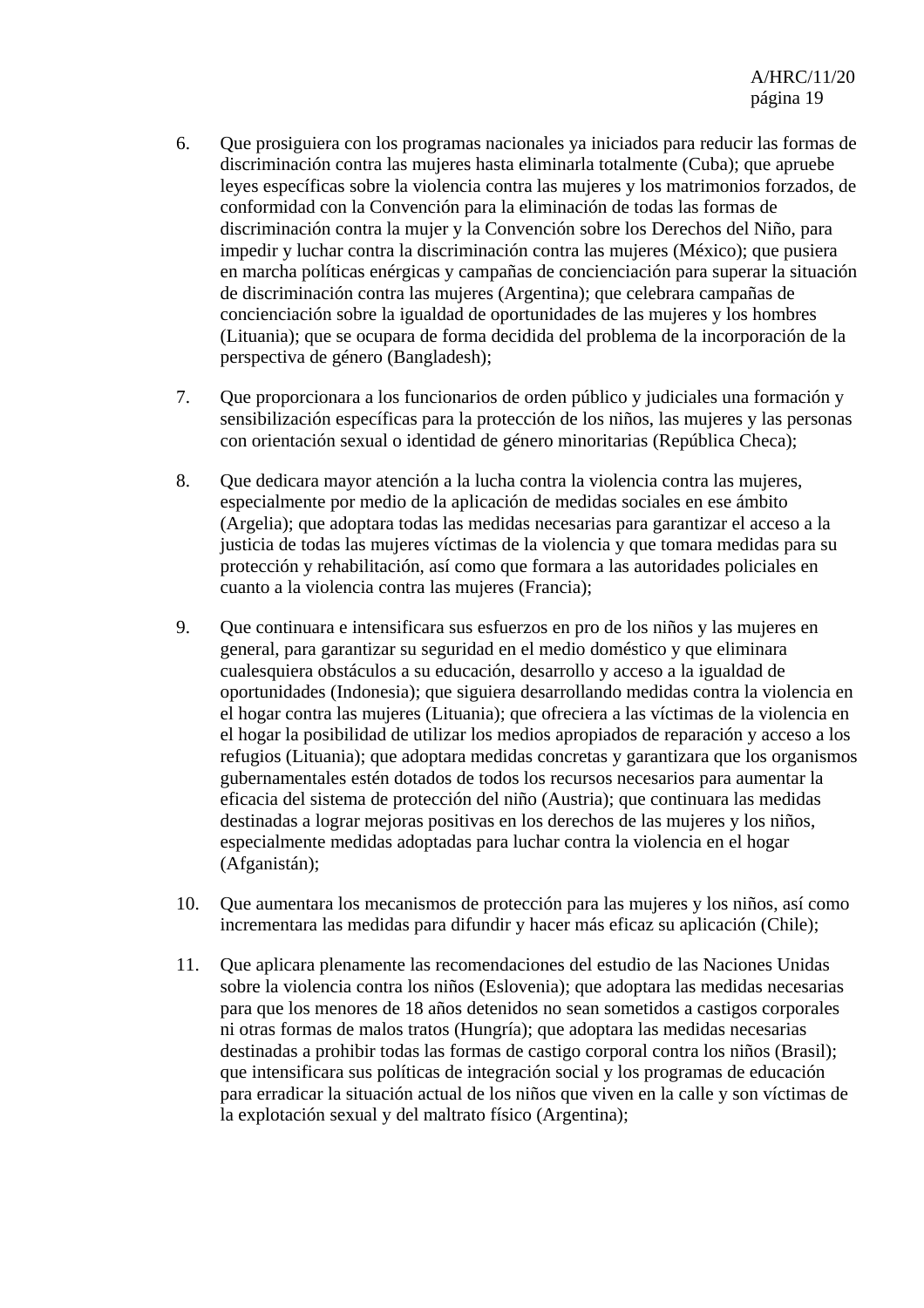- 6. Que prosiguiera con los programas nacionales ya iniciados para reducir las formas de discriminación contra las mujeres hasta eliminarla totalmente (Cuba); que apruebe leyes específicas sobre la violencia contra las mujeres y los matrimonios forzados, de conformidad con la Convención para la eliminación de todas las formas de discriminación contra la mujer y la Convención sobre los Derechos del Niño, para impedir y luchar contra la discriminación contra las mujeres (México); que pusiera en marcha políticas enérgicas y campañas de concienciación para superar la situación de discriminación contra las mujeres (Argentina); que celebrara campañas de concienciación sobre la igualdad de oportunidades de las mujeres y los hombres (Lituania); que se ocupara de forma decidida del problema de la incorporación de la perspectiva de género (Bangladesh);
- 7. Que proporcionara a los funcionarios de orden público y judiciales una formación y sensibilización específicas para la protección de los niños, las mujeres y las personas con orientación sexual o identidad de género minoritarias (República Checa);
- 8. Que dedicara mayor atención a la lucha contra la violencia contra las mujeres, especialmente por medio de la aplicación de medidas sociales en ese ámbito (Argelia); que adoptara todas las medidas necesarias para garantizar el acceso a la justicia de todas las mujeres víctimas de la violencia y que tomara medidas para su protección y rehabilitación, así como que formara a las autoridades policiales en cuanto a la violencia contra las mujeres (Francia);
- 9. Que continuara e intensificara sus esfuerzos en pro de los niños y las mujeres en general, para garantizar su seguridad en el medio doméstico y que eliminara cualesquiera obstáculos a su educación, desarrollo y acceso a la igualdad de oportunidades (Indonesia); que siguiera desarrollando medidas contra la violencia en el hogar contra las mujeres (Lituania); que ofreciera a las víctimas de la violencia en el hogar la posibilidad de utilizar los medios apropiados de reparación y acceso a los refugios (Lituania); que adoptara medidas concretas y garantizara que los organismos gubernamentales estén dotados de todos los recursos necesarios para aumentar la eficacia del sistema de protección del niño (Austria); que continuara las medidas destinadas a lograr mejoras positivas en los derechos de las mujeres y los niños, especialmente medidas adoptadas para luchar contra la violencia en el hogar (Afganistán);
- 10. Que aumentara los mecanismos de protección para las mujeres y los niños, así como incrementara las medidas para difundir y hacer más eficaz su aplicación (Chile);
- 11. Que aplicara plenamente las recomendaciones del estudio de las Naciones Unidas sobre la violencia contra los niños (Eslovenia); que adoptara las medidas necesarias para que los menores de 18 años detenidos no sean sometidos a castigos corporales ni otras formas de malos tratos (Hungría); que adoptara las medidas necesarias destinadas a prohibir todas las formas de castigo corporal contra los niños (Brasil); que intensificara sus políticas de integración social y los programas de educación para erradicar la situación actual de los niños que viven en la calle y son víctimas de la explotación sexual y del maltrato físico (Argentina);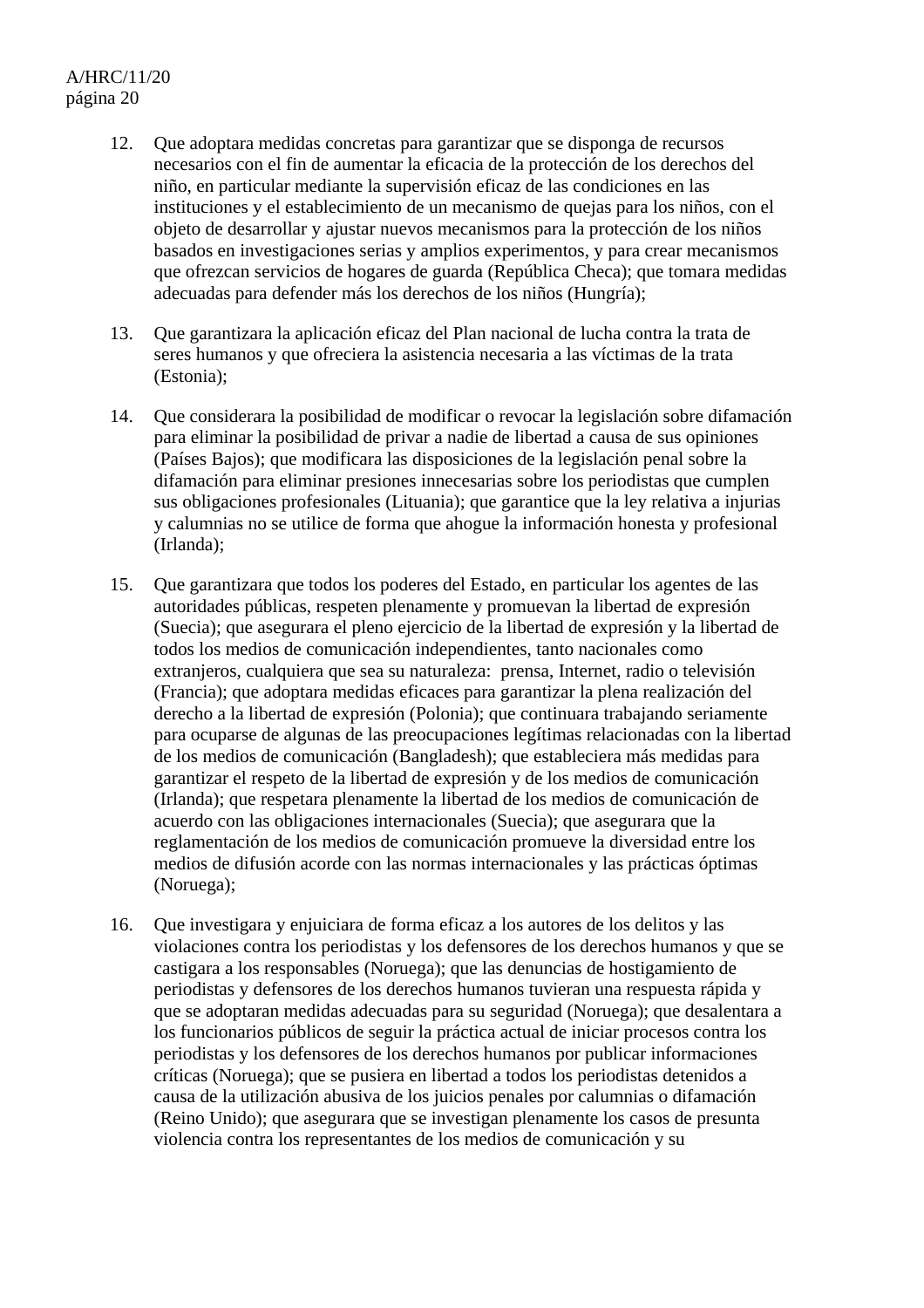- 12. Que adoptara medidas concretas para garantizar que se disponga de recursos necesarios con el fin de aumentar la eficacia de la protección de los derechos del niño, en particular mediante la supervisión eficaz de las condiciones en las instituciones y el establecimiento de un mecanismo de quejas para los niños, con el objeto de desarrollar y ajustar nuevos mecanismos para la protección de los niños basados en investigaciones serias y amplios experimentos, y para crear mecanismos que ofrezcan servicios de hogares de guarda (República Checa); que tomara medidas adecuadas para defender más los derechos de los niños (Hungría);
- 13. Que garantizara la aplicación eficaz del Plan nacional de lucha contra la trata de seres humanos y que ofreciera la asistencia necesaria a las víctimas de la trata (Estonia);
- 14. Que considerara la posibilidad de modificar o revocar la legislación sobre difamación para eliminar la posibilidad de privar a nadie de libertad a causa de sus opiniones (Países Bajos); que modificara las disposiciones de la legislación penal sobre la difamación para eliminar presiones innecesarias sobre los periodistas que cumplen sus obligaciones profesionales (Lituania); que garantice que la ley relativa a injurias y calumnias no se utilice de forma que ahogue la información honesta y profesional (Irlanda);
- 15. Que garantizara que todos los poderes del Estado, en particular los agentes de las autoridades públicas, respeten plenamente y promuevan la libertad de expresión (Suecia); que asegurara el pleno ejercicio de la libertad de expresión y la libertad de todos los medios de comunicación independientes, tanto nacionales como extranjeros, cualquiera que sea su naturaleza: prensa, Internet, radio o televisión (Francia); que adoptara medidas eficaces para garantizar la plena realización del derecho a la libertad de expresión (Polonia); que continuara trabajando seriamente para ocuparse de algunas de las preocupaciones legítimas relacionadas con la libertad de los medios de comunicación (Bangladesh); que estableciera más medidas para garantizar el respeto de la libertad de expresión y de los medios de comunicación (Irlanda); que respetara plenamente la libertad de los medios de comunicación de acuerdo con las obligaciones internacionales (Suecia); que asegurara que la reglamentación de los medios de comunicación promueve la diversidad entre los medios de difusión acorde con las normas internacionales y las prácticas óptimas (Noruega);
- 16. Que investigara y enjuiciara de forma eficaz a los autores de los delitos y las violaciones contra los periodistas y los defensores de los derechos humanos y que se castigara a los responsables (Noruega); que las denuncias de hostigamiento de periodistas y defensores de los derechos humanos tuvieran una respuesta rápida y que se adoptaran medidas adecuadas para su seguridad (Noruega); que desalentara a los funcionarios públicos de seguir la práctica actual de iniciar procesos contra los periodistas y los defensores de los derechos humanos por publicar informaciones críticas (Noruega); que se pusiera en libertad a todos los periodistas detenidos a causa de la utilización abusiva de los juicios penales por calumnias o difamación (Reino Unido); que asegurara que se investigan plenamente los casos de presunta violencia contra los representantes de los medios de comunicación y su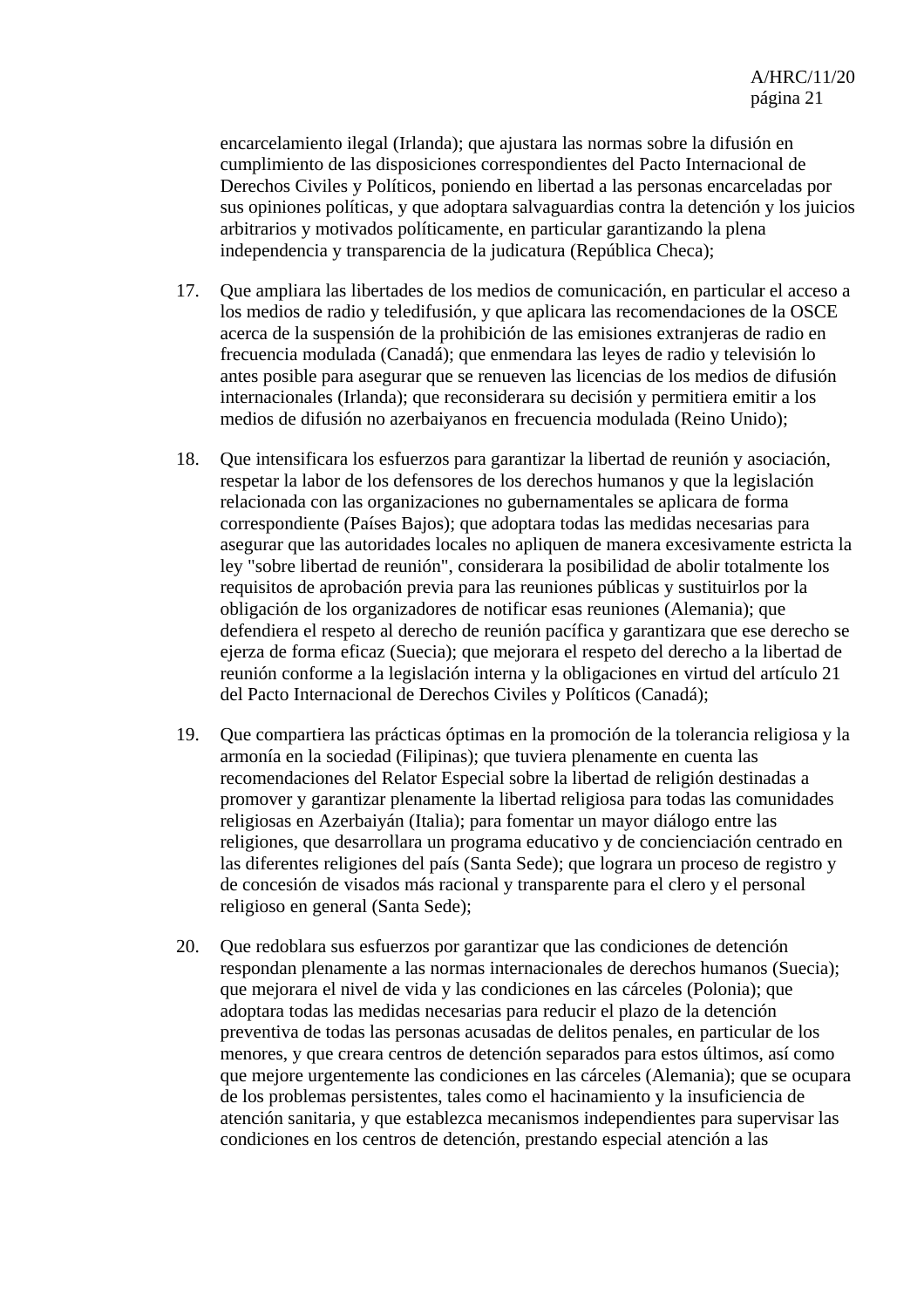encarcelamiento ilegal (Irlanda); que ajustara las normas sobre la difusión en cumplimiento de las disposiciones correspondientes del Pacto Internacional de Derechos Civiles y Políticos, poniendo en libertad a las personas encarceladas por sus opiniones políticas, y que adoptara salvaguardias contra la detención y los juicios arbitrarios y motivados políticamente, en particular garantizando la plena independencia y transparencia de la judicatura (República Checa);

- 17. Que ampliara las libertades de los medios de comunicación, en particular el acceso a los medios de radio y teledifusión, y que aplicara las recomendaciones de la OSCE acerca de la suspensión de la prohibición de las emisiones extranjeras de radio en frecuencia modulada (Canadá); que enmendara las leyes de radio y televisión lo antes posible para asegurar que se renueven las licencias de los medios de difusión internacionales (Irlanda); que reconsiderara su decisión y permitiera emitir a los medios de difusión no azerbaiyanos en frecuencia modulada (Reino Unido);
- 18. Que intensificara los esfuerzos para garantizar la libertad de reunión y asociación, respetar la labor de los defensores de los derechos humanos y que la legislación relacionada con las organizaciones no gubernamentales se aplicara de forma correspondiente (Países Bajos); que adoptara todas las medidas necesarias para asegurar que las autoridades locales no apliquen de manera excesivamente estricta la ley "sobre libertad de reunión", considerara la posibilidad de abolir totalmente los requisitos de aprobación previa para las reuniones públicas y sustituirlos por la obligación de los organizadores de notificar esas reuniones (Alemania); que defendiera el respeto al derecho de reunión pacífica y garantizara que ese derecho se ejerza de forma eficaz (Suecia); que mejorara el respeto del derecho a la libertad de reunión conforme a la legislación interna y la obligaciones en virtud del artículo 21 del Pacto Internacional de Derechos Civiles y Políticos (Canadá);
- 19. Que compartiera las prácticas óptimas en la promoción de la tolerancia religiosa y la armonía en la sociedad (Filipinas); que tuviera plenamente en cuenta las recomendaciones del Relator Especial sobre la libertad de religión destinadas a promover y garantizar plenamente la libertad religiosa para todas las comunidades religiosas en Azerbaiyán (Italia); para fomentar un mayor diálogo entre las religiones, que desarrollara un programa educativo y de concienciación centrado en las diferentes religiones del país (Santa Sede); que lograra un proceso de registro y de concesión de visados más racional y transparente para el clero y el personal religioso en general (Santa Sede);
- 20. Que redoblara sus esfuerzos por garantizar que las condiciones de detención respondan plenamente a las normas internacionales de derechos humanos (Suecia); que mejorara el nivel de vida y las condiciones en las cárceles (Polonia); que adoptara todas las medidas necesarias para reducir el plazo de la detención preventiva de todas las personas acusadas de delitos penales, en particular de los menores, y que creara centros de detención separados para estos últimos, así como que mejore urgentemente las condiciones en las cárceles (Alemania); que se ocupara de los problemas persistentes, tales como el hacinamiento y la insuficiencia de atención sanitaria, y que establezca mecanismos independientes para supervisar las condiciones en los centros de detención, prestando especial atención a las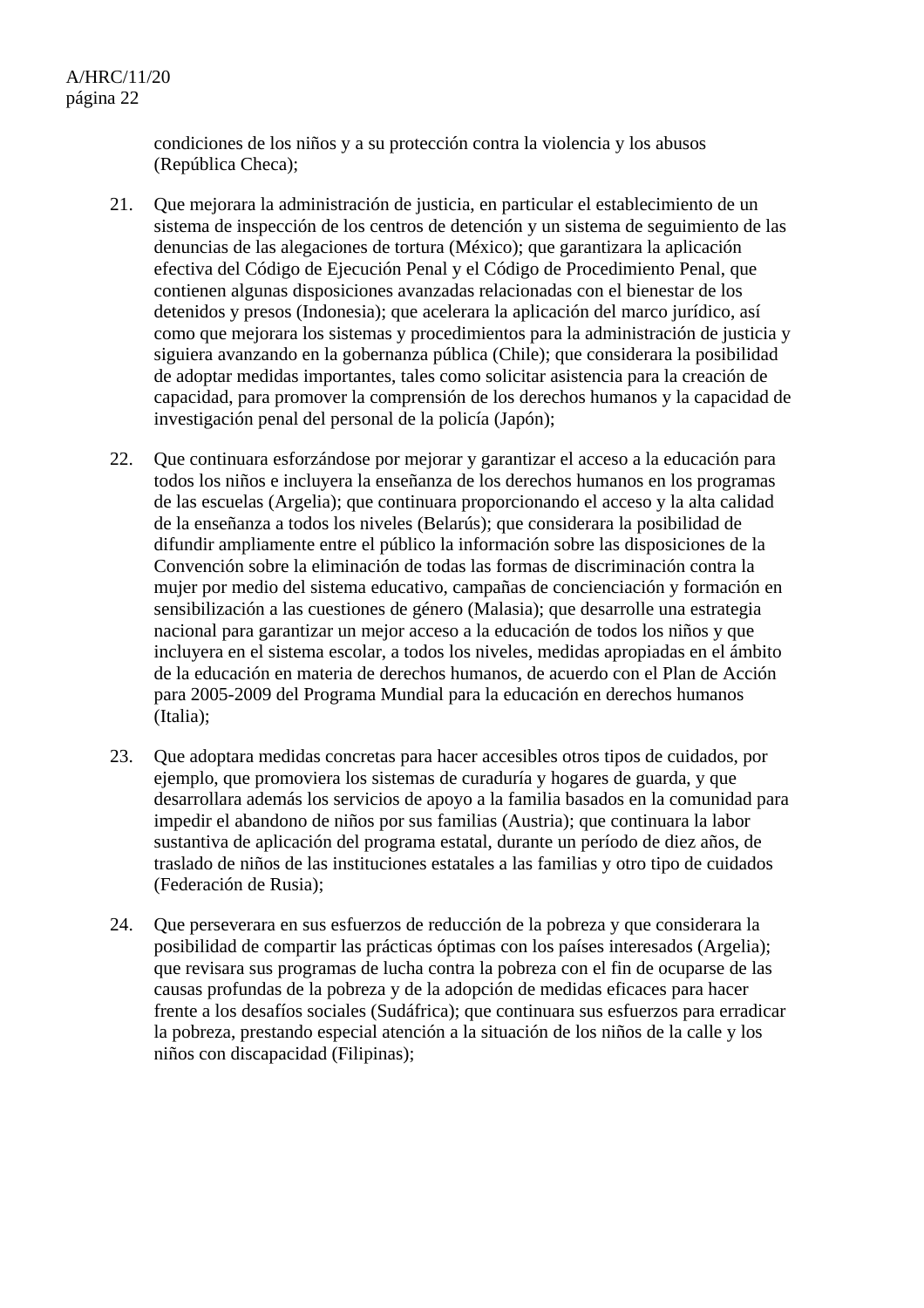condiciones de los niños y a su protección contra la violencia y los abusos (República Checa);

- 21. Que mejorara la administración de justicia, en particular el establecimiento de un sistema de inspección de los centros de detención y un sistema de seguimiento de las denuncias de las alegaciones de tortura (México); que garantizara la aplicación efectiva del Código de Ejecución Penal y el Código de Procedimiento Penal, que contienen algunas disposiciones avanzadas relacionadas con el bienestar de los detenidos y presos (Indonesia); que acelerara la aplicación del marco jurídico, así como que mejorara los sistemas y procedimientos para la administración de justicia y siguiera avanzando en la gobernanza pública (Chile); que considerara la posibilidad de adoptar medidas importantes, tales como solicitar asistencia para la creación de capacidad, para promover la comprensión de los derechos humanos y la capacidad de investigación penal del personal de la policía (Japón);
- 22. Que continuara esforzándose por mejorar y garantizar el acceso a la educación para todos los niños e incluyera la enseñanza de los derechos humanos en los programas de las escuelas (Argelia); que continuara proporcionando el acceso y la alta calidad de la enseñanza a todos los niveles (Belarús); que considerara la posibilidad de difundir ampliamente entre el público la información sobre las disposiciones de la Convención sobre la eliminación de todas las formas de discriminación contra la mujer por medio del sistema educativo, campañas de concienciación y formación en sensibilización a las cuestiones de género (Malasia); que desarrolle una estrategia nacional para garantizar un mejor acceso a la educación de todos los niños y que incluyera en el sistema escolar, a todos los niveles, medidas apropiadas en el ámbito de la educación en materia de derechos humanos, de acuerdo con el Plan de Acción para 2005-2009 del Programa Mundial para la educación en derechos humanos (Italia);
- 23. Que adoptara medidas concretas para hacer accesibles otros tipos de cuidados, por ejemplo, que promoviera los sistemas de curaduría y hogares de guarda, y que desarrollara además los servicios de apoyo a la familia basados en la comunidad para impedir el abandono de niños por sus familias (Austria); que continuara la labor sustantiva de aplicación del programa estatal, durante un período de diez años, de traslado de niños de las instituciones estatales a las familias y otro tipo de cuidados (Federación de Rusia);
- 24. Que perseverara en sus esfuerzos de reducción de la pobreza y que considerara la posibilidad de compartir las prácticas óptimas con los países interesados (Argelia); que revisara sus programas de lucha contra la pobreza con el fin de ocuparse de las causas profundas de la pobreza y de la adopción de medidas eficaces para hacer frente a los desafíos sociales (Sudáfrica); que continuara sus esfuerzos para erradicar la pobreza, prestando especial atención a la situación de los niños de la calle y los niños con discapacidad (Filipinas);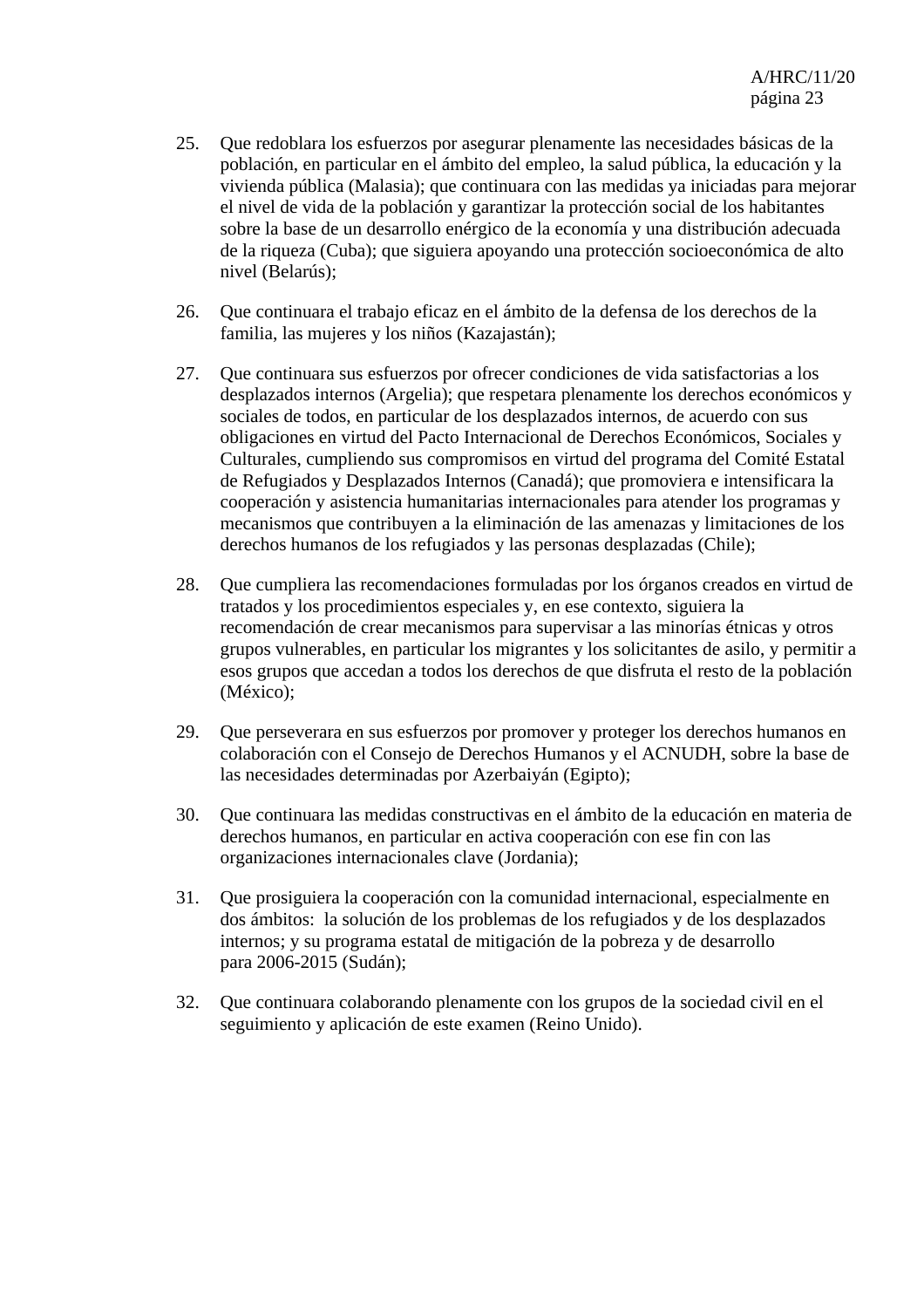- 25. Que redoblara los esfuerzos por asegurar plenamente las necesidades básicas de la población, en particular en el ámbito del empleo, la salud pública, la educación y la vivienda pública (Malasia); que continuara con las medidas ya iniciadas para mejorar el nivel de vida de la población y garantizar la protección social de los habitantes sobre la base de un desarrollo enérgico de la economía y una distribución adecuada de la riqueza (Cuba); que siguiera apoyando una protección socioeconómica de alto nivel (Belarús);
- 26. Que continuara el trabajo eficaz en el ámbito de la defensa de los derechos de la familia, las mujeres y los niños (Kazajastán);
- 27. Que continuara sus esfuerzos por ofrecer condiciones de vida satisfactorias a los desplazados internos (Argelia); que respetara plenamente los derechos económicos y sociales de todos, en particular de los desplazados internos, de acuerdo con sus obligaciones en virtud del Pacto Internacional de Derechos Económicos, Sociales y Culturales, cumpliendo sus compromisos en virtud del programa del Comité Estatal de Refugiados y Desplazados Internos (Canadá); que promoviera e intensificara la cooperación y asistencia humanitarias internacionales para atender los programas y mecanismos que contribuyen a la eliminación de las amenazas y limitaciones de los derechos humanos de los refugiados y las personas desplazadas (Chile);
- 28. Que cumpliera las recomendaciones formuladas por los órganos creados en virtud de tratados y los procedimientos especiales y, en ese contexto, siguiera la recomendación de crear mecanismos para supervisar a las minorías étnicas y otros grupos vulnerables, en particular los migrantes y los solicitantes de asilo, y permitir a esos grupos que accedan a todos los derechos de que disfruta el resto de la población (México);
- 29. Que perseverara en sus esfuerzos por promover y proteger los derechos humanos en colaboración con el Consejo de Derechos Humanos y el ACNUDH, sobre la base de las necesidades determinadas por Azerbaiyán (Egipto);
- 30. Que continuara las medidas constructivas en el ámbito de la educación en materia de derechos humanos, en particular en activa cooperación con ese fin con las organizaciones internacionales clave (Jordania);
- 31. Que prosiguiera la cooperación con la comunidad internacional, especialmente en dos ámbitos: la solución de los problemas de los refugiados y de los desplazados internos; y su programa estatal de mitigación de la pobreza y de desarrollo para 2006-2015 (Sudán);
- 32. Que continuara colaborando plenamente con los grupos de la sociedad civil en el seguimiento y aplicación de este examen (Reino Unido).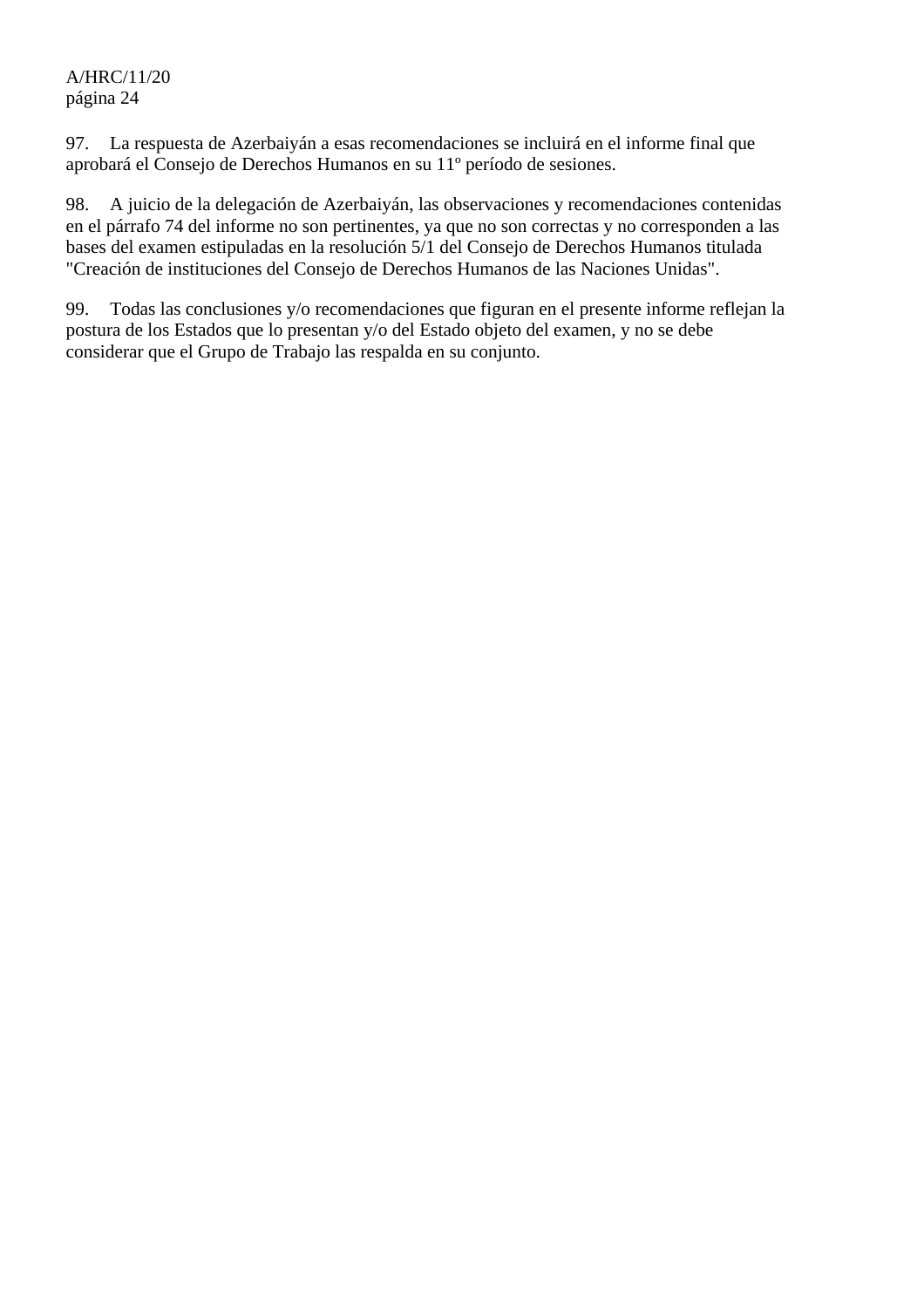97. La respuesta de Azerbaiyán a esas recomendaciones se incluirá en el informe final que aprobará el Consejo de Derechos Humanos en su 11º período de sesiones.

98. A juicio de la delegación de Azerbaiyán, las observaciones y recomendaciones contenidas en el párrafo 74 del informe no son pertinentes, ya que no son correctas y no corresponden a las bases del examen estipuladas en la resolución 5/1 del Consejo de Derechos Humanos titulada "Creación de instituciones del Consejo de Derechos Humanos de las Naciones Unidas".

99. Todas las conclusiones y/o recomendaciones que figuran en el presente informe reflejan la postura de los Estados que lo presentan y/o del Estado objeto del examen, y no se debe considerar que el Grupo de Trabajo las respalda en su conjunto.